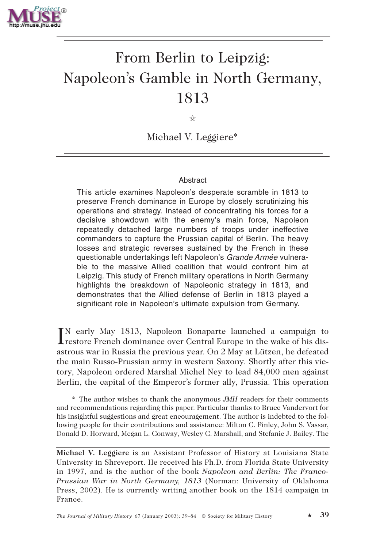

# From Berlin to Leipzig: Napoleon's Gamble in North Germany, 1813

✩

Michael V. Leggiere\*

# Abstract

This article examines Napoleon's desperate scramble in 1813 to preserve French dominance in Europe by closely scrutinizing his operations and strategy. Instead of concentrating his forces for a decisive showdown with the enemy's main force, Napoleon repeatedly detached large numbers of troops under ineffective commanders to capture the Prussian capital of Berlin. The heavy losses and strategic reverses sustained by the French in these questionable undertakings left Napoleon's *Grande Armée* vulnerable to the massive Allied coalition that would confront him at Leipzig. This study of French military operations in North Germany highlights the breakdown of Napoleonic strategy in 1813, and demonstrates that the Allied defense of Berlin in 1813 played a significant role in Napoleon's ultimate expulsion from Germany.

IN early May 1813, Napoleon Bonaparte launched a campaign to restore French dominance over Central Europe in the wake of his disrestore French dominance over Central Europe in the wake of his disastrous war in Russia the previous year. On 2 May at Lützen, he defeated the main Russo-Prussian army in western Saxony. Shortly after this victory, Napoleon ordered Marshal Michel Ney to lead 84,000 men against Berlin, the capital of the Emperor's former ally, Prussia. This operation

\* The author wishes to thank the anonymous *JMH* readers for their comments and recommendations regarding this paper. Particular thanks to Bruce Vandervort for his insightful suggestions and great encouragement. The author is indebted to the following people for their contributions and assistance: Milton C. Finley, John S. Vassar, Donald D. Horward, Megan L. Conway, Wesley C. Marshall, and Stefanie J. Bailey. The

**Michael V. Leggiere** is an Assistant Professor of History at Louisiana State University in Shreveport. He received his Ph.D. from Florida State University in 1997, and is the author of the book *Napoleon and Berlin: The Franco-Prussian War in North Germany, 1813* (Norman: University of Oklahoma Press, 2002). He is currently writing another book on the 1814 campaign in France.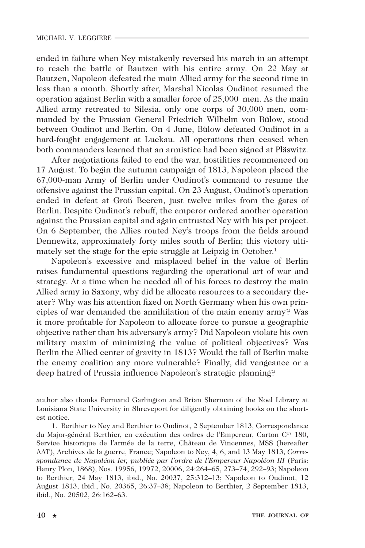ended in failure when Ney mistakenly reversed his march in an attempt to reach the battle of Bautzen with his entire army. On 22 May at Bautzen, Napoleon defeated the main Allied army for the second time in less than a month. Shortly after, Marshal Nicolas Oudinot resumed the operation against Berlin with a smaller force of 25,000 men. As the main Allied army retreated to Silesia, only one corps of 30,000 men, commanded by the Prussian General Friedrich Wilhelm von Bülow, stood between Oudinot and Berlin. On 4 June, Bülow defeated Oudinot in a hard-fought engagement at Luckau. All operations then ceased when both commanders learned that an armistice had been signed at Pläswitz.

After negotiations failed to end the war, hostilities recommenced on 17 August. To begin the autumn campaign of 1813, Napoleon placed the 67,000-man Army of Berlin under Oudinot's command to resume the offensive against the Prussian capital. On 23 August, Oudinot's operation ended in defeat at Groß Beeren, just twelve miles from the gates of Berlin. Despite Oudinot's rebuff, the emperor ordered another operation against the Prussian capital and again entrusted Ney with his pet project. On 6 September, the Allies routed Ney's troops from the fields around Dennewitz, approximately forty miles south of Berlin; this victory ultimately set the stage for the epic struggle at Leipzig in October.<sup>1</sup>

Napoleon's excessive and misplaced belief in the value of Berlin raises fundamental questions regarding the operational art of war and strategy. At a time when he needed all of his forces to destroy the main Allied army in Saxony, why did he allocate resources to a secondary theater? Why was his attention fixed on North Germany when his own principles of war demanded the annihilation of the main enemy army? Was it more profitable for Napoleon to allocate force to pursue a geographic objective rather than his adversary's army? Did Napoleon violate his own military maxim of minimizing the value of political objectives? Was Berlin the Allied center of gravity in 1813? Would the fall of Berlin make the enemy coalition any more vulnerable? Finally, did vengeance or a deep hatred of Prussia influence Napoleon's strategic planning?

author also thanks Fermand Garlington and Brian Sherman of the Noel Library at Louisiana State University in Shreveport for diligently obtaining books on the shortest notice.

<sup>1.</sup> Berthier to Ney and Berthier to Oudinot, 2 September 1813, Correspondance du Major-général Berthier, en exécution des ordres de l'Empereur, Carton C17 180, Service historique de l'armée de la terre, Château de Vincennes, MSS (hereafter AAT), Archives de la guerre, France; Napoleon to Ney, 4, 6, and 13 May 1813, *Correspondance de Napoléon Ier, publiée par l'ordre de l'Empereur Napoléon III* (Paris: Henry Plon, 1868), Nos. 19956, 19972, 20006, 24:264–65, 273–74, 292–93; Napoleon to Berthier, 24 May 1813, ibid., No. 20037, 25:312–13; Napoleon to Oudinot, 12 August 1813, ibid., No. 20365, 26:37–38; Napoleon to Berthier, 2 September 1813, ibid., No. 20502, 26:162–63.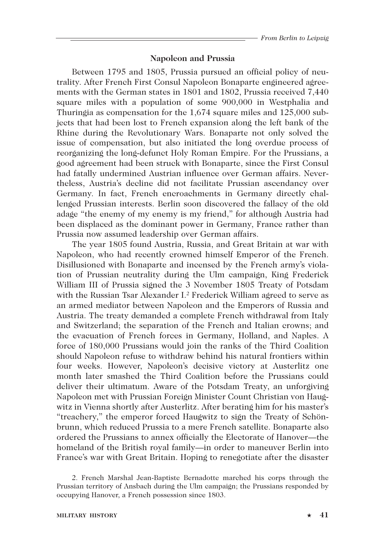#### **Napoleon and Prussia**

Between 1795 and 1805, Prussia pursued an official policy of neutrality. After French First Consul Napoleon Bonaparte engineered agreements with the German states in 1801 and 1802, Prussia received 7,440 square miles with a population of some 900,000 in Westphalia and Thuringia as compensation for the 1,674 square miles and 125,000 subjects that had been lost to French expansion along the left bank of the Rhine during the Revolutionary Wars. Bonaparte not only solved the issue of compensation, but also initiated the long overdue process of reorganizing the long-defunct Holy Roman Empire. For the Prussians, a good agreement had been struck with Bonaparte, since the First Consul had fatally undermined Austrian influence over German affairs. Nevertheless, Austria's decline did not facilitate Prussian ascendancy over Germany. In fact, French encroachments in Germany directly challenged Prussian interests. Berlin soon discovered the fallacy of the old adage "the enemy of my enemy is my friend," for although Austria had been displaced as the dominant power in Germany, France rather than Prussia now assumed leadership over German affairs.

The year 1805 found Austria, Russia, and Great Britain at war with Napoleon, who had recently crowned himself Emperor of the French. Disillusioned with Bonaparte and incensed by the French army's violation of Prussian neutrality during the Ulm campaign, King Frederick William III of Prussia signed the 3 November 1805 Treaty of Potsdam with the Russian Tsar Alexander I.2 Frederick William agreed to serve as an armed mediator between Napoleon and the Emperors of Russia and Austria. The treaty demanded a complete French withdrawal from Italy and Switzerland; the separation of the French and Italian crowns; and the evacuation of French forces in Germany, Holland, and Naples. A force of 180,000 Prussians would join the ranks of the Third Coalition should Napoleon refuse to withdraw behind his natural frontiers within four weeks. However, Napoleon's decisive victory at Austerlitz one month later smashed the Third Coalition before the Prussians could deliver their ultimatum. Aware of the Potsdam Treaty, an unforgiving Napoleon met with Prussian Foreign Minister Count Christian von Haugwitz in Vienna shortly after Austerlitz. After berating him for his master's "treachery," the emperor forced Haugwitz to sign the Treaty of Schönbrunn, which reduced Prussia to a mere French satellite. Bonaparte also ordered the Prussians to annex officially the Electorate of Hanover—the homeland of the British royal family—in order to maneuver Berlin into France's war with Great Britain. Hoping to renegotiate after the disaster

<sup>2.</sup> French Marshal Jean-Baptiste Bernadotte marched his corps through the Prussian territory of Ansbach during the Ulm campaign; the Prussians responded by occupying Hanover, a French possession since 1803.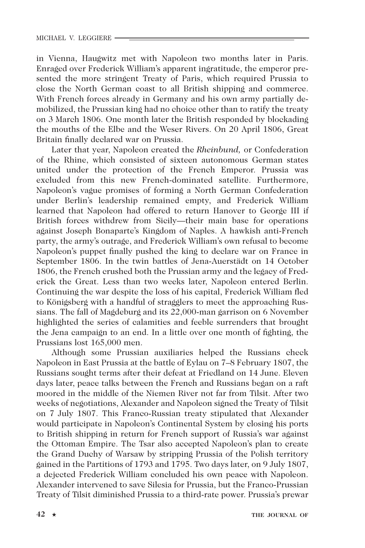in Vienna, Haugwitz met with Napoleon two months later in Paris. Enraged over Frederick William's apparent ingratitude, the emperor presented the more stringent Treaty of Paris, which required Prussia to close the North German coast to all British shipping and commerce. With French forces already in Germany and his own army partially demobilized, the Prussian king had no choice other than to ratify the treaty on 3 March 1806. One month later the British responded by blockading the mouths of the Elbe and the Weser Rivers. On 20 April 1806, Great Britain finally declared war on Prussia.

Later that year, Napoleon created the *Rheinbund,* or Confederation of the Rhine, which consisted of sixteen autonomous German states united under the protection of the French Emperor. Prussia was excluded from this new French-dominated satellite. Furthermore, Napoleon's vague promises of forming a North German Confederation under Berlin's leadership remained empty, and Frederick William learned that Napoleon had offered to return Hanover to George III if British forces withdrew from Sicily—their main base for operations against Joseph Bonaparte's Kingdom of Naples. A hawkish anti-French party, the army's outrage, and Frederick William's own refusal to become Napoleon's puppet finally pushed the king to declare war on France in September 1806. In the twin battles of Jena-Auerstädt on 14 October 1806, the French crushed both the Prussian army and the legacy of Frederick the Great. Less than two weeks later, Napoleon entered Berlin. Continuing the war despite the loss of his capital, Frederick William fled to Königsberg with a handful of stragglers to meet the approaching Russians. The fall of Magdeburg and its 22,000-man garrison on 6 November highlighted the series of calamities and feeble surrenders that brought the Jena campaign to an end. In a little over one month of fighting, the Prussians lost 165,000 men.

Although some Prussian auxiliaries helped the Russians check Napoleon in East Prussia at the battle of Eylau on 7–8 February 1807, the Russians sought terms after their defeat at Friedland on 14 June. Eleven days later, peace talks between the French and Russians began on a raft moored in the middle of the Niemen River not far from Tilsit. After two weeks of negotiations, Alexander and Napoleon signed the Treaty of Tilsit on 7 July 1807. This Franco-Russian treaty stipulated that Alexander would participate in Napoleon's Continental System by closing his ports to British shipping in return for French support of Russia's war against the Ottoman Empire. The Tsar also accepted Napoleon's plan to create the Grand Duchy of Warsaw by stripping Prussia of the Polish territory gained in the Partitions of 1793 and 1795. Two days later, on 9 July 1807, a dejected Frederick William concluded his own peace with Napoleon. Alexander intervened to save Silesia for Prussia, but the Franco-Prussian Treaty of Tilsit diminished Prussia to a third-rate power. Prussia's prewar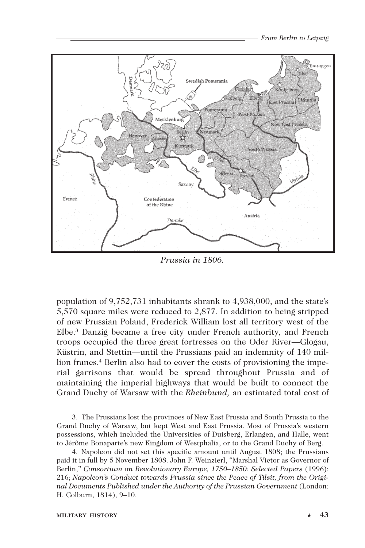

*Prussia in 1806.*

population of 9,752,731 inhabitants shrank to 4,938,000, and the state's 5,570 square miles were reduced to 2,877. In addition to being stripped of new Prussian Poland, Frederick William lost all territory west of the Elbe.3 Danzig became a free city under French authority, and French troops occupied the three great fortresses on the Oder River—Glogau, Küstrin, and Stettin—until the Prussians paid an indemnity of 140 million francs.<sup>4</sup> Berlin also had to cover the costs of provisioning the imperial garrisons that would be spread throughout Prussia and of maintaining the imperial highways that would be built to connect the Grand Duchy of Warsaw with the *Rheinbund,* an estimated total cost of

3. The Prussians lost the provinces of New East Prussia and South Prussia to the Grand Duchy of Warsaw, but kept West and East Prussia. Most of Prussia's western possessions, which included the Universities of Duisberg, Erlangen, and Halle, went to Jérôme Bonaparte's new Kingdom of Westphalia, or to the Grand Duchy of Berg.

4. Napoleon did not set this specific amount until August 1808; the Prussians paid it in full by 5 November 1808. John F. Weinzierl, "Marshal Victor as Governor of Berlin," *Consortium on Revolutionary Europe, 1750–1850: Selected Papers* (1996): 216; *Napoleon's Conduct towards Prussia since the Peace of Tilsit, from the Original Documents Published under the Authority of the Prussian Government* (London: H. Colburn, 1814), 9–10.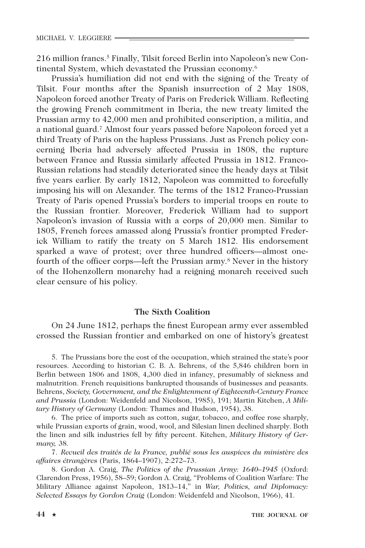216 million francs.<sup>5</sup> Finally, Tilsit forced Berlin into Napoleon's new Continental System, which devastated the Prussian economy.6

Prussia's humiliation did not end with the signing of the Treaty of Tilsit. Four months after the Spanish insurrection of 2 May 1808, Napoleon forced another Treaty of Paris on Frederick William. Reflecting the growing French commitment in Iberia, the new treaty limited the Prussian army to 42,000 men and prohibited conscription, a militia, and a national guard.7 Almost four years passed before Napoleon forced yet a third Treaty of Paris on the hapless Prussians. Just as French policy concerning Iberia had adversely affected Prussia in 1808, the rupture between France and Russia similarly affected Prussia in 1812. Franco-Russian relations had steadily deteriorated since the heady days at Tilsit five years earlier. By early 1812, Napoleon was committed to forcefully imposing his will on Alexander. The terms of the 1812 Franco-Prussian Treaty of Paris opened Prussia's borders to imperial troops en route to the Russian frontier. Moreover, Frederick William had to support Napoleon's invasion of Russia with a corps of 20,000 men. Similar to 1805, French forces amassed along Prussia's frontier prompted Frederick William to ratify the treaty on 5 March 1812. His endorsement sparked a wave of protest; over three hundred officers—almost onefourth of the officer corps—left the Prussian army.8 Never in the history of the Hohenzollern monarchy had a reigning monarch received such clear censure of his policy.

# **The Sixth Coalition**

On 24 June 1812, perhaps the finest European army ever assembled crossed the Russian frontier and embarked on one of history's greatest

5. The Prussians bore the cost of the occupation, which strained the state's poor resources. According to historian C. B. A. Behrens, of the 5,846 children born in Berlin between 1806 and 1808, 4,300 died in infancy, presumably of sickness and malnutrition. French requisitions bankrupted thousands of businesses and peasants. Behrens, *Society, Government, and the Enlightenment of Eighteenth-Century France and Prussia* (London: Weidenfeld and Nicolson, 1985), 191; Martin Kitchen, *A Military History of Germany* (London: Thames and Hudson, 1954), 38.

6. The price of imports such as cotton, sugar, tobacco, and coffee rose sharply, while Prussian exports of grain, wood, wool, and Silesian linen declined sharply. Both the linen and silk industries fell by fifty percent. Kitchen, *Military History of Germany,* 38.

7. *Recueil des traités de la France, publié sous les auspices du ministère des affaires étrangères* (Paris, 1864–1907), 2:272–73.

8. Gordon A. Craig, *The Politics of the Prussian Army: 1640–1945* (Oxford: Clarendon Press, 1956), 58–59; Gordon A. Craig, "Problems of Coalition Warfare: The Military Alliance against Napoleon, 1813–14," in *War, Politics, and Diplomacy: Selected Essays by Gordon Craig* (London: Weidenfeld and Nicolson, 1966), 41.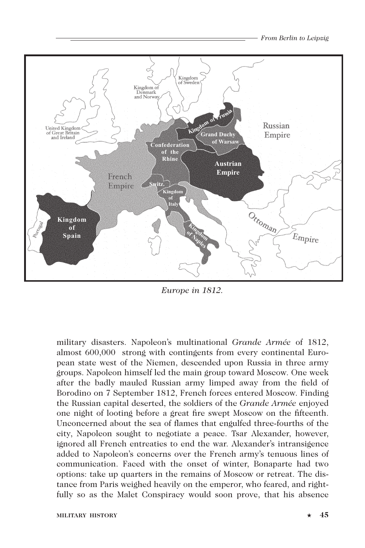

*Europe in 1812.*

military disasters. Napoleon's multinational *Grande Armée* of 1812, almost 600,000 strong with contingents from every continental European state west of the Niemen, descended upon Russia in three army groups. Napoleon himself led the main group toward Moscow. One week after the badly mauled Russian army limped away from the field of Borodino on 7 September 1812, French forces entered Moscow. Finding the Russian capital deserted, the soldiers of the *Grande Armée* enjoyed one night of looting before a great fire swept Moscow on the fifteenth. Unconcerned about the sea of flames that engulfed three-fourths of the city, Napoleon sought to negotiate a peace. Tsar Alexander, however, ignored all French entreaties to end the war. Alexander's intransigence added to Napoleon's concerns over the French army's tenuous lines of communication. Faced with the onset of winter, Bonaparte had two options: take up quarters in the remains of Moscow or retreat. The distance from Paris weighed heavily on the emperor, who feared, and rightfully so as the Malet Conspiracy would soon prove, that his absence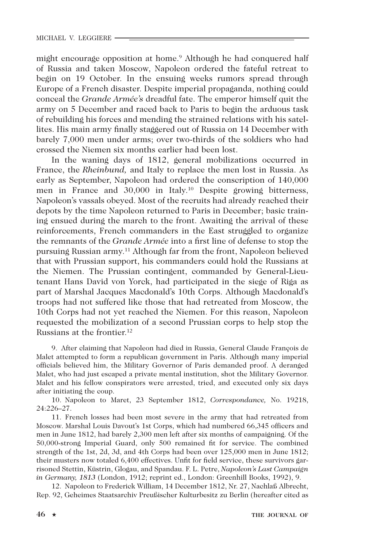might encourage opposition at home.<sup>9</sup> Although he had conquered half of Russia and taken Moscow, Napoleon ordered the fateful retreat to begin on 19 October. In the ensuing weeks rumors spread through Europe of a French disaster. Despite imperial propaganda, nothing could conceal the *Grande Armée's* dreadful fate. The emperor himself quit the army on 5 December and raced back to Paris to begin the arduous task of rebuilding his forces and mending the strained relations with his satellites. His main army finally staggered out of Russia on 14 December with barely 7,000 men under arms; over two-thirds of the soldiers who had crossed the Niemen six months earlier had been lost.

In the waning days of 1812, general mobilizations occurred in France, the *Rheinbund,* and Italy to replace the men lost in Russia. As early as September, Napoleon had ordered the conscription of 140,000 men in France and 30,000 in Italy.10 Despite growing bitterness, Napoleon's vassals obeyed. Most of the recruits had already reached their depots by the time Napoleon returned to Paris in December; basic training ensued during the march to the front. Awaiting the arrival of these reinforcements, French commanders in the East struggled to organize the remnants of the *Grande Armée* into a first line of defense to stop the pursuing Russian army.11 Although far from the front, Napoleon believed that with Prussian support, his commanders could hold the Russians at the Niemen. The Prussian contingent, commanded by General-Lieutenant Hans David von Yorck, had participated in the siege of Riga as part of Marshal Jacques Macdonald's 10th Corps. Although Macdonald's troops had not suffered like those that had retreated from Moscow, the 10th Corps had not yet reached the Niemen. For this reason, Napoleon requested the mobilization of a second Prussian corps to help stop the Russians at the frontier.12

9. After claiming that Napoleon had died in Russia, General Claude François de Malet attempted to form a republican government in Paris. Although many imperial officials believed him, the Military Governor of Paris demanded proof. A deranged Malet, who had just escaped a private mental institution, shot the Military Governor. Malet and his fellow conspirators were arrested, tried, and executed only six days after initiating the coup.

10. Napoleon to Maret, 23 September 1812, *Correspondance,* No. 19218, 24:226–27.

11. French losses had been most severe in the army that had retreated from Moscow. Marshal Louis Davout's 1st Corps, which had numbered 66,345 officers and men in June 1812, had barely 2,300 men left after six months of campaigning. Of the 50,000-strong Imperial Guard, only 500 remained fit for service. The combined strength of the 1st, 2d, 3d, and 4th Corps had been over 125,000 men in June 1812; their musters now totaled 6,400 effectives. Unfit for field service, these survivors garrisoned Stettin, Küstrin, Glogau, and Spandau. F. L. Petre, *Napoleon's Last Campaign in Germany, 1813* (London, 1912; reprint ed., London: Greenhill Books, 1992), 9.

12. Napoleon to Frederick William, 14 December 1812, Nr. 27, Nachlaß Albrecht, Rep. 92, Geheimes Staatsarchiv Preußischer Kulturbesitz zu Berlin (hereafter cited as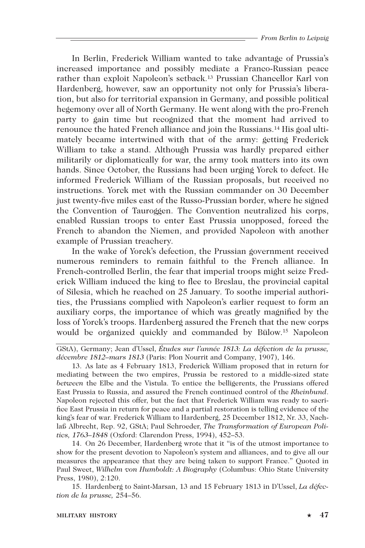In Berlin, Frederick William wanted to take advantage of Prussia's increased importance and possibly mediate a Franco-Russian peace rather than exploit Napoleon's setback.13 Prussian Chancellor Karl von Hardenberg, however, saw an opportunity not only for Prussia's liberation, but also for territorial expansion in Germany, and possible political hegemony over all of North Germany. He went along with the pro-French party to gain time but recognized that the moment had arrived to renounce the hated French alliance and join the Russians.14 His goal ultimately became intertwined with that of the army: getting Frederick William to take a stand. Although Prussia was hardly prepared either militarily or diplomatically for war, the army took matters into its own hands. Since October, the Russians had been urging Yorck to defect. He informed Frederick William of the Russian proposals, but received no instructions. Yorck met with the Russian commander on 30 December just twenty-five miles east of the Russo-Prussian border, where he signed the Convention of Tauroggen. The Convention neutralized his corps, enabled Russian troops to enter East Prussia unopposed, forced the French to abandon the Niemen, and provided Napoleon with another example of Prussian treachery.

In the wake of Yorck's defection, the Prussian government received numerous reminders to remain faithful to the French alliance. In French-controlled Berlin, the fear that imperial troops might seize Frederick William induced the king to flee to Breslau, the provincial capital of Silesia, which he reached on 25 January. To soothe imperial authorities, the Prussians complied with Napoleon's earlier request to form an auxiliary corps, the importance of which was greatly magnified by the loss of Yorck's troops. Hardenberg assured the French that the new corps would be organized quickly and commanded by Bülow.15 Napoleon

14. On 26 December, Hardenberg wrote that it "is of the utmost importance to show for the present devotion to Napoleon's system and alliances, and to give all our measures the appearance that they are being taken to support France." Quoted in Paul Sweet, *Wilhelm von Humboldt: A Biography* (Columbus: Ohio State University Press, 1980), 2:120.

15. Hardenberg to Saint-Marsan, 13 and 15 February 1813 in D'Ussel, *La défection de la prusse,* 254–56.

GStA), Germany; Jean d'Ussel, *Études sur l'année 1813: La défection de la prusse, décembre 1812–mars 1813* (Paris: Plon Nourrit and Company, 1907), 146.

<sup>13.</sup> As late as 4 February 1813, Frederick William proposed that in return for mediating between the two empires, Prussia be restored to a middle-sized state *between* the Elbe and the Vistula. To entice the belligerents, the Prussians offered East Prussia to Russia, and assured the French continued control of the *Rheinbund*. Napoleon rejected this offer, but the fact that Frederick William was ready to sacrifice East Prussia in return for peace and a partial restoration is telling evidence of the king's fear of war. Frederick William to Hardenberg, 25 December 1812, Nr. 33, Nachlaß Albrecht, Rep. 92, GStA; Paul Schroeder, *The Transformation of European Politics, 1763–1848* (Oxford: Clarendon Press, 1994), 452–53.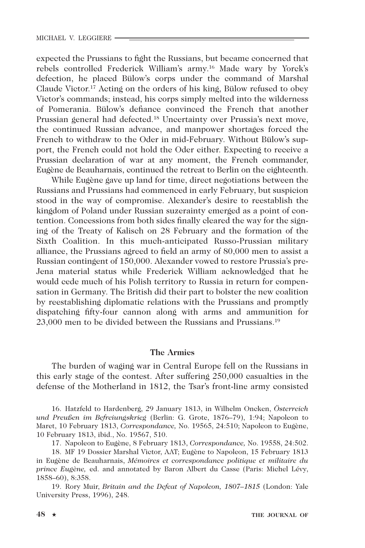expected the Prussians to fight the Russians, but became concerned that rebels controlled Frederick William's army.16 Made wary by Yorck's defection, he placed Bülow's corps under the command of Marshal Claude Victor.17 Acting on the orders of his king, Bülow refused to obey Victor's commands; instead, his corps simply melted into the wilderness of Pomerania. Bülow's defiance convinced the French that another Prussian general had defected.18 Uncertainty over Prussia's next move, the continued Russian advance, and manpower shortages forced the French to withdraw to the Oder in mid-February. Without Bülow's support, the French could not hold the Oder either. Expecting to receive a Prussian declaration of war at any moment, the French commander, Eugène de Beauharnais, continued the retreat to Berlin on the eighteenth.

While Eugène gave up land for time, direct negotiations between the Russians and Prussians had commenced in early February, but suspicion stood in the way of compromise. Alexander's desire to reestablish the kingdom of Poland under Russian suzerainty emerged as a point of contention. Concessions from both sides finally cleared the way for the signing of the Treaty of Kalisch on 28 February and the formation of the Sixth Coalition. In this much-anticipated Russo-Prussian military alliance, the Prussians agreed to field an army of 80,000 men to assist a Russian contingent of 150,000. Alexander vowed to restore Prussia's pre-Jena material status while Frederick William acknowledged that he would cede much of his Polish territory to Russia in return for compensation in Germany. The British did their part to bolster the new coalition by reestablishing diplomatic relations with the Prussians and promptly dispatching fifty-four cannon along with arms and ammunition for 23,000 men to be divided between the Russians and Prussians.19

### **The Armies**

The burden of waging war in Central Europe fell on the Russians in this early stage of the contest. After suffering 250,000 casualties in the defense of the Motherland in 1812, the Tsar's front-line army consisted

16. Hatzfeld to Hardenberg, 29 January 1813, in Wilhelm Oncken, *Österreich und Preußen im Befreiungskrieg* (Berlin: G. Grote, 1876–79), 1:94; Napoleon to Maret, 10 February 1813, *Correspondance,* No. 19565, 24:510; Napoleon to Eugène, 10 February 1813, ibid., No. 19567, 510.

17. Napoleon to Eugène, 8 February 1813, *Correspondance,* No. 19558, 24:502.

18. MF 19 Dossier Marshal Victor, AAT; Eugène to Napoleon, 15 February 1813 in Eugène de Beauharnais, *Mémoires et correspondance politique et militaire du prince Eugène,* ed. and annotated by Baron Albert du Casse (Paris: Michel Lévy, 1858–60), 8:358.

19. Rory Muir, *Britain and the Defeat of Napoleon, 1807–1815* (London: Yale University Press, 1996), 248.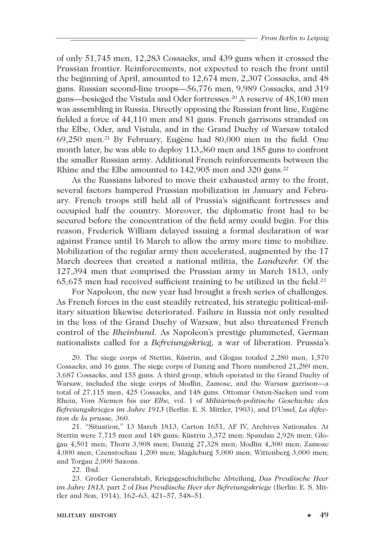of only 51,745 men, 12,283 Cossacks, and 439 guns when it crossed the Prussian frontier. Reinforcements, not expected to reach the front until the beginning of April, amounted to 12,674 men, 2,307 Cossacks, and 48 guns. Russian second-line troops—56,776 men, 9,989 Cossacks, and 319 guns—besieged the Vistula and Oder fortresses.20 A reserve of 48,100 men was assembling in Russia. Directly opposing the Russian front line, Eugène fielded a force of 44,110 men and 81 guns. French garrisons stranded on the Elbe, Oder, and Vistula, and in the Grand Duchy of Warsaw totaled 69,250 men.21 By February, Eugène had 80,000 men in the field. One month later, he was able to deploy 113,360 men and 185 guns to confront the smaller Russian army. Additional French reinforcements between the Rhine and the Elbe amounted to 142,905 men and 320 guns.<sup>22</sup>

As the Russians labored to move their exhausted army to the front, several factors hampered Prussian mobilization in January and February. French troops still held all of Prussia's significant fortresses and occupied half the country. Moreover, the diplomatic front had to be secured before the concentration of the field army could begin. For this reason, Frederick William delayed issuing a formal declaration of war against France until 16 March to allow the army more time to mobilize. Mobilization of the regular army then accelerated, augmented by the 17 March decrees that created a national militia, the *Landwehr.* Of the 127,394 men that comprised the Prussian army in March 1813, only 65,675 men had received sufficient training to be utilized in the field.23

For Napoleon, the new year had brought a fresh series of challenges. As French forces in the east steadily retreated, his strategic political-military situation likewise deteriorated. Failure in Russia not only resulted in the loss of the Grand Duchy of Warsaw, but also threatened French control of the *Rheinbund.* As Napoleon's prestige plummeted, German nationalists called for a *Befreiungskrieg,* a war of liberation. Prussia's

20. The siege corps of Stettin, Küstrin, and Glogau totaled 2,280 men, 1,570 Cossacks, and 16 guns. The siege corps of Danzig and Thorn numbered 21,289 men, 3,687 Cossacks, and 155 guns. A third group, which operated in the Grand Duchy of Warsaw, included the siege corps of Modlin, Zamosc, and the Warsaw garrison—a total of 27,115 men, 425 Cossacks, and 148 guns. Ottomar Osten-Sacken und vom Rhein, *Vom Niemen bis zur Elbe,* vol. 1 of *Militärisch-politische Geschichte des Befreiungskrieges im Jahre 1913* (Berlin: E. S. Mittler, 1903), and D'Ussel, *La défection de la prusse,* 360.

21. "Situation," 13 March 1813, Carton 1651, AF IV, Archives Nationales. At Stettin were 7,715 men and 148 guns; Küstrin 3,372 men; Spandau 2,926 men; Glogau 4,501 men; Thorn 3,908 men; Danzig 27,328 men; Modlin 4,300 men; Zamosc 4,000 men; Czenstochau 1,200 men; Magdeburg 5,000 men; Wittenberg 3,000 men; and Torgau 2,000 Saxons.

22. Ibid.

23. Großer Generalstab, Kriegsgeschichtliche Abteilung, *Das Preußische Heer im Jahre 1813,* part 2 of *Das Preußische Heer der Befreiungskriege* (Berlin: E. S. Mittler and Son, 1914), 162–63, 421–57, 548–51.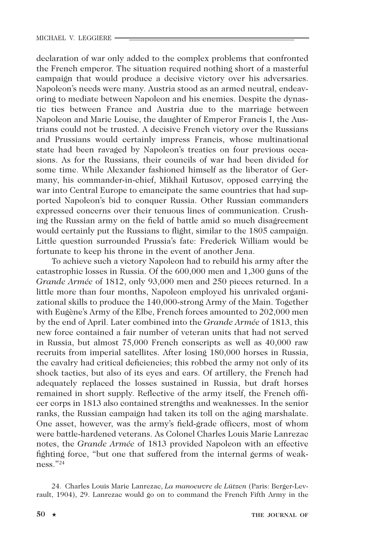declaration of war only added to the complex problems that confronted the French emperor. The situation required nothing short of a masterful campaign that would produce a decisive victory over his adversaries. Napoleon's needs were many. Austria stood as an armed neutral, endeavoring to mediate between Napoleon and his enemies. Despite the dynastic ties between France and Austria due to the marriage between Napoleon and Marie Louise, the daughter of Emperor Francis I, the Austrians could not be trusted. A decisive French victory over the Russians and Prussians would certainly impress Francis, whose multinational state had been ravaged by Napoleon's treaties on four previous occasions. As for the Russians, their councils of war had been divided for some time. While Alexander fashioned himself as the liberator of Germany, his commander-in-chief, Mikhail Kutusov, opposed carrying the war into Central Europe to emancipate the same countries that had supported Napoleon's bid to conquer Russia. Other Russian commanders expressed concerns over their tenuous lines of communication. Crushing the Russian army on the field of battle amid so much disagreement would certainly put the Russians to flight, similar to the 1805 campaign. Little question surrounded Prussia's fate: Frederick William would be fortunate to keep his throne in the event of another Jena.

To achieve such a victory Napoleon had to rebuild his army after the catastrophic losses in Russia. Of the 600,000 men and 1,300 guns of the *Grande Armée* of 1812, only 93,000 men and 250 pieces returned. In a little more than four months, Napoleon employed his unrivaled organizational skills to produce the 140,000-strong Army of the Main. Together with Eugène's Army of the Elbe, French forces amounted to 202,000 men by the end of April. Later combined into the *Grande Armée* of 1813, this new force contained a fair number of veteran units that had not served in Russia, but almost 75,000 French conscripts as well as 40,000 raw recruits from imperial satellites. After losing 180,000 horses in Russia, the cavalry had critical deficiencies; this robbed the army not only of its shock tactics, but also of its eyes and ears. Of artillery, the French had adequately replaced the losses sustained in Russia, but draft horses remained in short supply. Reflective of the army itself, the French officer corps in 1813 also contained strengths and weaknesses. In the senior ranks, the Russian campaign had taken its toll on the aging marshalate. One asset, however, was the army's field-grade officers, most of whom were battle-hardened veterans. As Colonel Charles Louis Marie Lanrezac notes, the *Grande Armée* of 1813 provided Napoleon with an effective fighting force, "but one that suffered from the internal germs of weakness."24

24. Charles Louis Marie Lanrezac, *La manoeuvre de Lützen* (Paris: Berger-Levrault, 1904), 29. Lanrezac would go on to command the French Fifth Army in the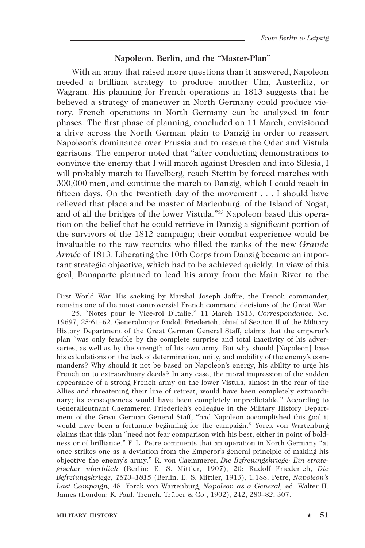# **Napoleon, Berlin, and the "Master-Plan"**

With an army that raised more questions than it answered, Napoleon needed a brilliant strategy to produce another Ulm, Austerlitz, or Wagram. His planning for French operations in 1813 suggests that he believed a strategy of maneuver in North Germany could produce victory. French operations in North Germany can be analyzed in four phases. The first phase of planning, concluded on 11 March, envisioned a drive across the North German plain to Danzig in order to reassert Napoleon's dominance over Prussia and to rescue the Oder and Vistula garrisons. The emperor noted that "after conducting demonstrations to convince the enemy that I will march against Dresden and into Silesia, I will probably march to Havelberg, reach Stettin by forced marches with 300,000 men, and continue the march to Danzig, which I could reach in fifteen days. On the twentieth day of the movement . . . I should have relieved that place and be master of Marienburg, of the Island of Nogat, and of all the bridges of the lower Vistula."25 Napoleon based this operation on the belief that he could retrieve in Danzig a significant portion of the survivors of the 1812 campaign; their combat experience would be invaluable to the raw recruits who filled the ranks of the new *Grande Armée* of 1813. Liberating the 10th Corps from Danzig became an important strategic objective, which had to be achieved quickly. In view of this goal, Bonaparte planned to lead his army from the Main River to the

First World War. His sacking by Marshal Joseph Joffre, the French commander, remains one of the most controversial French command decisions of the Great War.

<sup>25. &</sup>quot;Notes pour le Vice-roi D'Italie," 11 March 1813, *Correspondance,* No. 19697, 25:61–62. Generalmajor Rudolf Friederich, chief of Section II of the Military History Department of the Great German General Staff, claims that the emperor's plan "was only feasible by the complete surprise and total inactivity of his adversaries, as well as by the strength of his own army. But why should [Napoleon] base his calculations on the lack of determination, unity, and mobility of the enemy's commanders? Why should it not be based on Napoleon's energy, his ability to urge his French on to extraordinary deeds? In any case, the moral impression of the sudden appearance of a strong French army on the lower Vistula, almost in the rear of the Allies and threatening their line of retreat, would have been completely extraordinary; its consequences would have been completely unpredictable." According to Generalleutnant Caemmerer, Friederich's colleague in the Military History Department of the Great German General Staff, "had Napoleon accomplished this goal it would have been a fortunate beginning for the campaign." Yorck von Wartenburg claims that this plan "need not fear comparison with his best, either in point of boldness or of brilliance." F. L. Petre comments that an operation in North Germany "at once strikes one as a deviation from the Emperor's general principle of making his objective the enemy's army." R. von Caemmerer, *Die Befreiungskriege: Ein strategischer überblick* (Berlin: E. S. Mittler, 1907), 20; Rudolf Friederich, *Die Befreiungskriege, 1813–1815* (Berlin: E. S. Mittler, 1913), 1:188; Petre, *Napoleon's Last Campaign,* 48; Yorck von Wartenburg, *Napoleon as a General,* ed. Walter H. James (London: K. Paul, Trench, Trüber & Co., 1902), 242, 280–82, 307.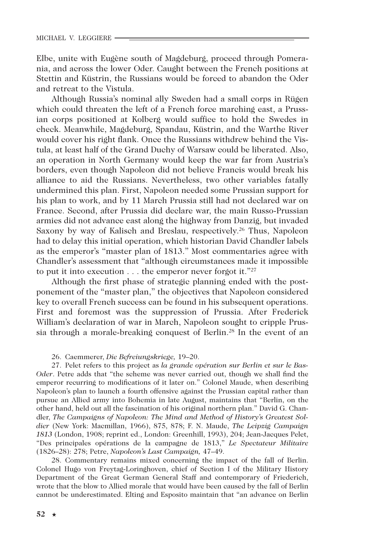Elbe, unite with Eugène south of Magdeburg, proceed through Pomerania, and across the lower Oder. Caught between the French positions at Stettin and Küstrin, the Russians would be forced to abandon the Oder and retreat to the Vistula.

Although Russia's nominal ally Sweden had a small corps in Rügen which could threaten the left of a French force marching east, a Prussian corps positioned at Kolberg would suffice to hold the Swedes in check. Meanwhile, Magdeburg, Spandau, Küstrin, and the Warthe River would cover his right flank. Once the Russians withdrew behind the Vistula, at least half of the Grand Duchy of Warsaw could be liberated. Also, an operation in North Germany would keep the war far from Austria's borders, even though Napoleon did not believe Francis would break his alliance to aid the Russians. Nevertheless, two other variables fatally undermined this plan. First, Napoleon needed some Prussian support for his plan to work, and by 11 March Prussia still had not declared war on France. Second, after Prussia did declare war, the main Russo-Prussian armies did not advance east along the highway from Danzig, but invaded Saxony by way of Kalisch and Breslau, respectively.<sup>26</sup> Thus, Napoleon had to delay this initial operation, which historian David Chandler labels as the emperor's "master plan of 1813." Most commentaries agree with Chandler's assessment that "although circumstances made it impossible to put it into execution  $\dots$  the emperor never forgot it."<sup>27</sup>

Although the first phase of strategic planning ended with the postponement of the "master plan," the objectives that Napoleon considered key to overall French success can be found in his subsequent operations. First and foremost was the suppression of Prussia. After Frederick William's declaration of war in March, Napoleon sought to cripple Prussia through a morale-breaking conquest of Berlin.28 In the event of an

#### 26. Caemmerer, *Die Befreiungskriege,* 19–20.

27. Pelet refers to this project as *la grande opération sur Berlin et sur le Bas-Oder*. Petre adds that "the scheme was never carried out, though we shall find the emperor recurring to modifications of it later on." Colonel Maude, when describing Napoleon's plan to launch a fourth offensive against the Prussian capital rather than pursue an Allied army into Bohemia in late August, maintains that "Berlin, on the other hand, held out all the fascination of his original northern plan." David G. Chandler, *The Campaigns of Napoleon: The Mind and Method of History's Greatest Soldier* (New York: Macmillan, 1966), 875, 878; F. N. Maude, *The Leipzig Campaign 1813* (London, 1908; reprint ed., London: Greenhill, 1993), 204; Jean-Jacques Pelet, "Des principales opérations de la campagne de 1813," *Le Spectateur Militaire* (1826–28): 278; Petre, *Napoleon's Last Campaign,* 47–49.

28. Commentary remains mixed concerning the impact of the fall of Berlin. Colonel Hugo von Freytag-Loringhoven, chief of Section I of the Military History Department of the Great German General Staff and contemporary of Friederich, wrote that the blow to Allied morale that would have been caused by the fall of Berlin cannot be underestimated. Elting and Esposito maintain that "an advance on Berlin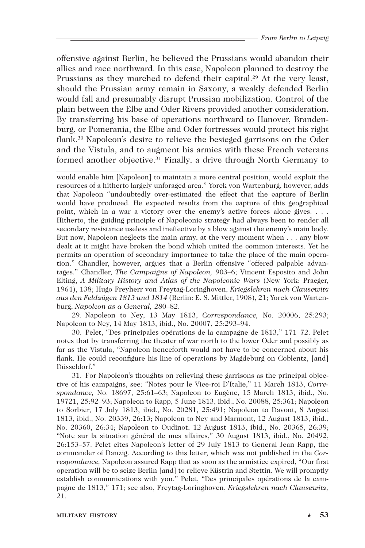offensive against Berlin, he believed the Prussians would abandon their allies and race northward. In this case, Napoleon planned to destroy the Prussians as they marched to defend their capital.29 At the very least, should the Prussian army remain in Saxony, a weakly defended Berlin would fall and presumably disrupt Prussian mobilization. Control of the plain between the Elbe and Oder Rivers provided another consideration. By transferring his base of operations northward to Hanover, Brandenburg, or Pomerania, the Elbe and Oder fortresses would protect his right flank.30 Napoleon's desire to relieve the besieged garrisons on the Oder and the Vistula, and to augment his armies with these French veterans formed another objective.31 Finally, a drive through North Germany to

would enable him [Napoleon] to maintain a more central position, would exploit the resources of a hitherto largely unforaged area." Yorck von Wartenburg, however, adds that Napoleon "undoubtedly over-estimated the effect that the capture of Berlin would have produced. He expected results from the capture of this geographical point, which in a war a victory over the enemy's active forces alone gives. . . . Hitherto, the guiding principle of Napoleonic strategy had always been to render all secondary resistance useless and ineffective by a blow against the enemy's main body. But now, Napoleon neglects the main army, at the very moment when . . . any blow dealt at it might have broken the bond which united the common interests. Yet he permits an operation of secondary importance to take the place of the main operation." Chandler, however, argues that a Berlin offensive "offered palpable advantages." Chandler, *The Campaigns of Napoleon,* 903–6; Vincent Esposito and John Elting, *A Military History and Atlas of the Napoleonic Wars* (New York: Praeger, 1964), 138; Hugo Freyherr von Freytag-Loringhoven, *Kriegslehren nach Clausewitz aus den Feldzügen 1813 und 1814* (Berlin: E. S. Mittler, 1908), 21; Yorck von Wartenburg, *Napoleon as a General,* 280–82.

29. Napoleon to Ney, 13 May 1813, *Correspondance,* No. 20006, 25:293; Napoleon to Ney, 14 May 1813, ibid., No. 20007, 25:293–94.

30. Pelet, "Des principales opérations de la campagne de 1813," 171–72. Pelet notes that by transferring the theater of war north to the lower Oder and possibly as far as the Vistula, "Napoleon henceforth would not have to be concerned about his flank. He could reconfigure his line of operations by Magdeburg on Coblentz, [and] Düsseldorf."

31. For Napoleon's thoughts on relieving these garrisons as the principal objective of his campaigns, see: "Notes pour le Vice-roi D'Italie," 11 March 1813, *Correspondance,* No. 18697, 25:61–63; Napoleon to Eugène, 15 March 1813, ibid., No. 19721, 25:92–93; Napoleon to Rapp, 5 June 1813, ibid., No. 20088, 25:361; Napoleon to Sorbier, 17 July 1813, ibid., No. 20281, 25:491; Napoleon to Davout, 8 August 1813, ibid., No. 20339, 26:13; Napoleon to Ney and Marmont, 12 August 1813, ibid., No. 20360, 26:34; Napoleon to Oudinot, 12 August 1813, ibid., No. 20365, 26:39; "Note sur la situation général de mes affaires," 30 August 1813, ibid., No. 20492, 26:153–57. Pelet cites Napoleon's letter of 29 July 1813 to General Jean Rapp, the commander of Danzig. According to this letter, which was not published in the *Correspondance,* Napoleon assured Rapp that as soon as the armistice expired, "Our first operation will be to seize Berlin [and] to relieve Küstrin and Stettin. We will promptly establish communications with you." Pelet, "Des principales opérations de la campagne de 1813," 171; see also, Freytag-Loringhoven, *Kriegslehren nach Clausewitz,* 21.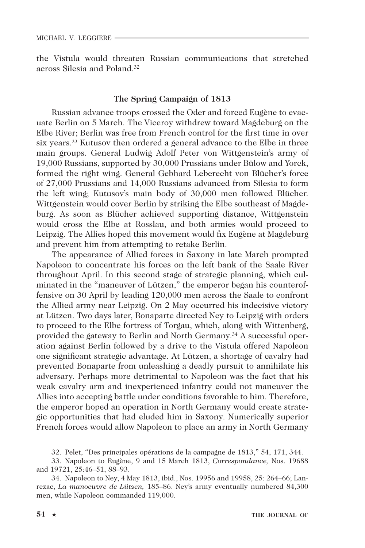the Vistula would threaten Russian communications that stretched across Silesia and Poland.32

### **The Spring Campaign of 1813**

Russian advance troops crossed the Oder and forced Eugène to evacuate Berlin on 5 March. The Viceroy withdrew toward Magdeburg on the Elbe River; Berlin was free from French control for the first time in over six years.33 Kutusov then ordered a general advance to the Elbe in three main groups. General Ludwig Adolf Peter von Wittgenstein's army of 19,000 Russians, supported by 30,000 Prussians under Bülow and Yorck, formed the right wing. General Gebhard Leberecht von Blücher's force of 27,000 Prussians and 14,000 Russians advanced from Silesia to form the left wing; Kutusov's main body of 30,000 men followed Blücher. Wittgenstein would cover Berlin by striking the Elbe southeast of Magdeburg. As soon as Blücher achieved supporting distance, Wittgenstein would cross the Elbe at Rosslau, and both armies would proceed to Leipzig. The Allies hoped this movement would fix Eugène at Magdeburg and prevent him from attempting to retake Berlin.

The appearance of Allied forces in Saxony in late March prompted Napoleon to concentrate his forces on the left bank of the Saale River throughout April. In this second stage of strategic planning, which culminated in the "maneuver of Lützen," the emperor began his counteroffensive on 30 April by leading 120,000 men across the Saale to confront the Allied army near Leipzig. On 2 May occurred his indecisive victory at Lützen. Two days later, Bonaparte directed Ney to Leipzig with orders to proceed to the Elbe fortress of Torgau, which, along with Wittenberg, provided the gateway to Berlin and North Germany.<sup>34</sup> A successful operation against Berlin followed by a drive to the Vistula offered Napoleon one significant strategic advantage. At Lützen, a shortage of cavalry had prevented Bonaparte from unleashing a deadly pursuit to annihilate his adversary. Perhaps more detrimental to Napoleon was the fact that his weak cavalry arm and inexperienced infantry could not maneuver the Allies into accepting battle under conditions favorable to him. Therefore, the emperor hoped an operation in North Germany would create strategic opportunities that had eluded him in Saxony. Numerically superior French forces would allow Napoleon to place an army in North Germany

32. Pelet, "Des principales opérations de la campagne de 1813," 54, 171, 344.

33. Napoleon to Eugène, 9 and 15 March 1813, *Correspondance,* Nos. 19688 and 19721, 25:46–51, 88–93.

34. Napoleon to Ney, 4 May 1813, ibid., Nos. 19956 and 19958, 25: 264–66; Lanrezac, *La manoeuvre de Lützen,* 185–86. Ney's army eventually numbered 84,300 men, while Napoleon commanded 119,000.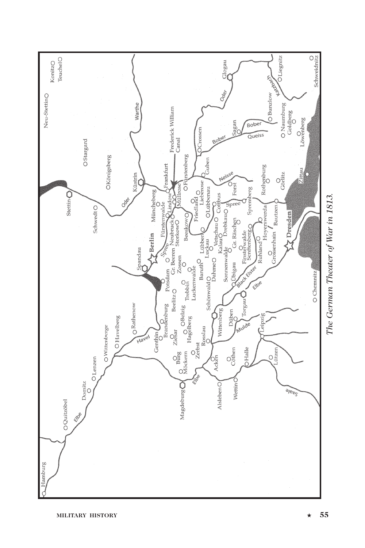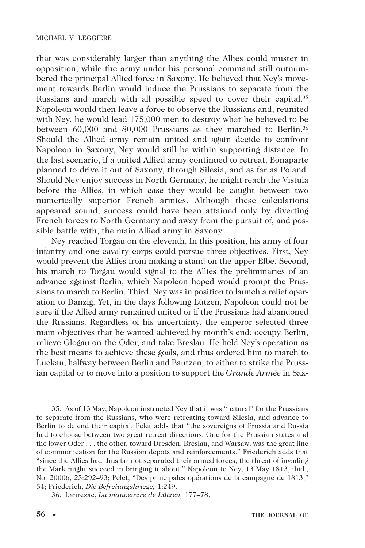that was considerably larger than anything the Allies could muster in opposition, while the army under his personal command still outnumbered the principal Allied force in Saxony. He believed that Ney's movement towards Berlin would induce the Prussians to separate from the Russians and march with all possible speed to cover their capital.<sup>35</sup> Napoleon would then leave a force to observe the Russians and, reunited with Ney, he would lead 175,000 men to destroy what he believed to be between 60,000 and 80,000 Prussians as they marched to Berlin.<sup>36</sup> Should the Allied army remain united and again decide to confront Napoleon in Saxony, Ney would still be within supporting distance. In the last scenario, if a united Allied army continued to retreat, Bonaparte planned to drive it out of Saxony, through Silesia, and as far as Poland. Should Ney enjoy success in North Germany, he might reach the Vistula before the Allies, in which case they would be caught between two numerically superior French armies. Although these calculations appeared sound, success could have been attained only by diverting French forces to North Germany and away from the pursuit of, and possible battle with, the main Allied army in Saxony.

Ney reached Torgau on the eleventh. In this position, his army of four infantry and one cavalry corps could pursue three objectives. First, Ney would prevent the Allies from making a stand on the upper Elbe. Second, his march to Torgau would signal to the Allies the preliminaries of an advance against Berlin, which Napoleon hoped would prompt the Prussians to march to Berlin. Third, Ney was in position to launch a relief operation to Danzig. Yet, in the days following Lützen, Napoleon could not be sure if the Allied army remained united or if the Prussians had abandoned the Russians. Regardless of his uncertainty, the emperor selected three main objectives that he wanted achieved by month's end: occupy Berlin, relieve Glogau on the Oder, and take Breslau. He held Ney's operation as the best means to achieve these goals, and thus ordered him to march to Luckau, halfway between Berlin and Bautzen, to either to strike the Prussian capital or to move into a position to support the *Grande Armée* in Sax-

35. As of 13 May, Napoleon instructed Ney that it was "natural" for the Prussians to separate from the Russians, who were retreating toward Silesia, and advance to Berlin to defend their capital. Pelet adds that "the sovereigns of Prussia and Russia had to choose between two great retreat directions. One for the Prussian states and the lower Oder . . . the other, toward Dresden, Breslau, and Warsaw, was the great line of communication for the Russian depots and reinforcements." Friederich adds that "since the Allies had thus far not separated their armed forces, the threat of invading the Mark might succeed in bringing it about." Napoleon to Ney, 13 May 1813, ibid., No. 20006, 25:292–93; Pelet, "Des principales opérations de la campagne de 1813," 54; Friederich, *Die Befreiungskriege,* 1:249.

36. Lanrezac, *La manoeuvre de Lützen,* 177–78.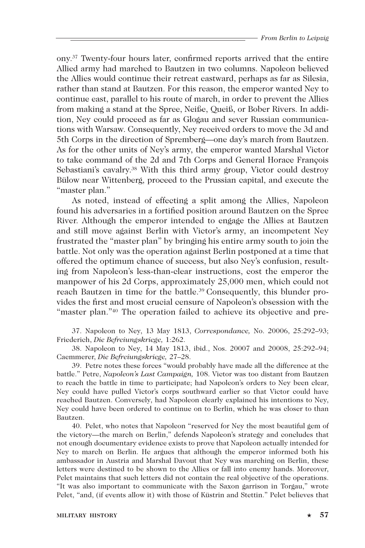ony.37 Twenty-four hours later, confirmed reports arrived that the entire Allied army had marched to Bautzen in two columns. Napoleon believed the Allies would continue their retreat eastward, perhaps as far as Silesia, rather than stand at Bautzen. For this reason, the emperor wanted Ney to continue east, parallel to his route of march, in order to prevent the Allies from making a stand at the Spree, Neiße, Queiß, or Bober Rivers. In addition, Ney could proceed as far as Glogau and sever Russian communications with Warsaw. Consequently, Ney received orders to move the 3d and 5th Corps in the direction of Spremberg—one day's march from Bautzen. As for the other units of Ney's army, the emperor wanted Marshal Victor to take command of the 2d and 7th Corps and General Horace François Sebastiani's cavalry.38 With this third army group, Victor could destroy Bülow near Wittenberg, proceed to the Prussian capital, and execute the "master plan."

As noted, instead of effecting a split among the Allies, Napoleon found his adversaries in a fortified position around Bautzen on the Spree River. Although the emperor intended to engage the Allies at Bautzen and still move against Berlin with Victor's army, an incompetent Ney frustrated the "master plan" by bringing his entire army south to join the battle. Not only was the operation against Berlin postponed at a time that offered the optimum chance of success, but also Ney's confusion, resulting from Napoleon's less-than-clear instructions, cost the emperor the manpower of his 2d Corps, approximately 25,000 men, which could not reach Bautzen in time for the battle.<sup>39</sup> Consequently, this blunder provides the first and most crucial censure of Napoleon's obsession with the "master plan."<sup>40</sup> The operation failed to achieve its objective and pre-

37. Napoleon to Ney, 13 May 1813, *Correspondance,* No. 20006, 25:292–93; Friederich, *Die Befreiungskriege,* 1:262.

38. Napoleon to Ney, 14 May 1813, ibid., Nos. 20007 and 20008, 25:292–94; Caemmerer, *Die Befreiungskriege,* 27–28.

39. Petre notes these forces "would probably have made all the difference at the battle." Petre, *Napoleon's Last Campaign,* 108. Victor was too distant from Bautzen to reach the battle in time to participate; had Napoleon's orders to Ney been clear, Ney could have pulled Victor's corps southward earlier so that Victor could have reached Bautzen. Conversely, had Napoleon clearly explained his intentions to Ney, Ney could have been ordered to continue on to Berlin, which he was closer to than Bautzen.

40. Pelet, who notes that Napoleon "reserved for Ney the most beautiful gem of the victory—the march on Berlin," defends Napoleon's strategy and concludes that not enough documentary evidence exists to prove that Napoleon actually intended for Ney to march on Berlin. He argues that although the emperor informed both his ambassador in Austria and Marshal Davout that Ney was marching on Berlin, these letters were destined to be shown to the Allies or fall into enemy hands. Moreover, Pelet maintains that such letters did not contain the real objective of the operations. "It was also important to communicate with the Saxon garrison in Torgau," wrote Pelet, "and, (if events allow it) with those of Küstrin and Stettin." Pelet believes that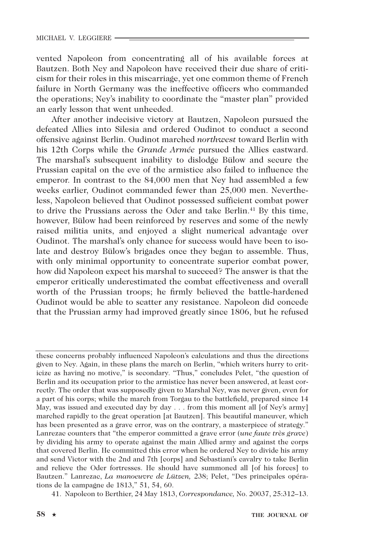vented Napoleon from concentrating all of his available forces at Bautzen. Both Ney and Napoleon have received their due share of criticism for their roles in this miscarriage, yet one common theme of French failure in North Germany was the ineffective officers who commanded the operations; Ney's inability to coordinate the "master plan" provided an early lesson that went unheeded.

After another indecisive victory at Bautzen, Napoleon pursued the defeated Allies into Silesia and ordered Oudinot to conduct a second offensive against Berlin. Oudinot marched *northwest* toward Berlin with his 12th Corps while the *Grande Armée* pursued the Allies eastward. The marshal's subsequent inability to dislodge Bülow and secure the Prussian capital on the eve of the armistice also failed to influence the emperor. In contrast to the 84,000 men that Ney had assembled a few weeks earlier, Oudinot commanded fewer than 25,000 men. Nevertheless, Napoleon believed that Oudinot possessed sufficient combat power to drive the Prussians across the Oder and take Berlin.41 By this time, however, Bülow had been reinforced by reserves and some of the newly raised militia units, and enjoyed a slight numerical advantage over Oudinot. The marshal's only chance for success would have been to isolate and destroy Bülow's brigades once they began to assemble. Thus, with only minimal opportunity to concentrate superior combat power, how did Napoleon expect his marshal to succeed? The answer is that the emperor critically underestimated the combat effectiveness and overall worth of the Prussian troops; he firmly believed the battle-hardened Oudinot would be able to scatter any resistance. Napoleon did concede that the Prussian army had improved greatly since 1806, but he refused

41. Napoleon to Berthier, 24 May 1813, *Correspondance,* No. 20037, 25:312–13.

these concerns probably influenced Napoleon's calculations and thus the directions given to Ney. Again, in these plans the march on Berlin, "which writers hurry to criticize as having no motive," is secondary. "Thus," concludes Pelet, "the question of Berlin and its occupation prior to the armistice has never been answered, at least correctly. The order that was supposedly given to Marshal Ney, was never given, even for a part of his corps; while the march from Torgau to the battlefield, prepared since 14 May, was issued and executed day by day . . . from this moment all [of Ney's army] marched rapidly to the great operation [at Bautzen]. This beautiful maneuver, which has been presented as a grave error, was on the contrary, a masterpiece of strategy." Lanrezac counters that "the emperor committed a grave error (*une faute très grave*) by dividing his army to operate against the main Allied army and against the corps that covered Berlin. He committed this error when he ordered Ney to divide his army and send Victor with the 2nd and 7th [corps] and Sebastiani's cavalry to take Berlin and relieve the Oder fortresses. He should have summoned all [of his forces] to Bautzen." Lanrezac, *La manoeuvre de Lützen,* 238; Pelet, "Des principales opérations de la campagne de 1813," 51, 54, 60.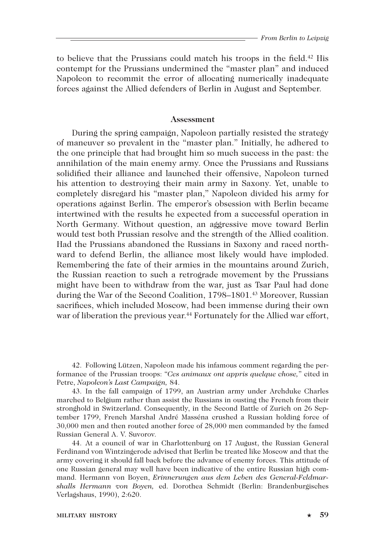to believe that the Prussians could match his troops in the field.42 His contempt for the Prussians undermined the "master plan" and induced Napoleon to recommit the error of allocating numerically inadequate forces against the Allied defenders of Berlin in August and September.

## **Assessment**

During the spring campaign, Napoleon partially resisted the strategy of maneuver so prevalent in the "master plan." Initially, he adhered to the one principle that had brought him so much success in the past: the annihilation of the main enemy army. Once the Prussians and Russians solidified their alliance and launched their offensive, Napoleon turned his attention to destroying their main army in Saxony. Yet, unable to completely disregard his "master plan," Napoleon divided his army for operations against Berlin. The emperor's obsession with Berlin became intertwined with the results he expected from a successful operation in North Germany. Without question, an aggressive move toward Berlin would test both Prussian resolve and the strength of the Allied coalition. Had the Prussians abandoned the Russians in Saxony and raced northward to defend Berlin, the alliance most likely would have imploded. Remembering the fate of their armies in the mountains around Zurich, the Russian reaction to such a retrograde movement by the Prussians might have been to withdraw from the war, just as Tsar Paul had done during the War of the Second Coalition, 1798–1801.43 Moreover, Russian sacrifices, which included Moscow, had been immense during their own war of liberation the previous year.<sup>44</sup> Fortunately for the Allied war effort,

42. Following Lützen, Napoleon made his infamous comment regarding the performance of the Prussian troops: "*Ces animaux ont appris quelque chose,*" cited in Petre, *Napoleon's Last Campaign,* 84.

43. In the fall campaign of 1799, an Austrian army under Archduke Charles marched to Belgium rather than assist the Russians in ousting the French from their stronghold in Switzerland. Consequently, in the Second Battle of Zurich on 26 September 1799, French Marshal André Masséna crushed a Russian holding force of 30,000 men and then routed another force of 28,000 men commanded by the famed Russian General A. V. Suvorov.

44. At a council of war in Charlottenburg on 17 August, the Russian General Ferdinand von Wintzingerode advised that Berlin be treated like Moscow and that the army covering it should fall back before the advance of enemy forces. This attitude of one Russian general may well have been indicative of the entire Russian high command. Hermann von Boyen, *Erinnerungen aus dem Leben des General-Feldmarshalls Hermann von Boyen,* ed. Dorothea Schmidt (Berlin: Brandenburgisches Verlagshaus, 1990), 2:620.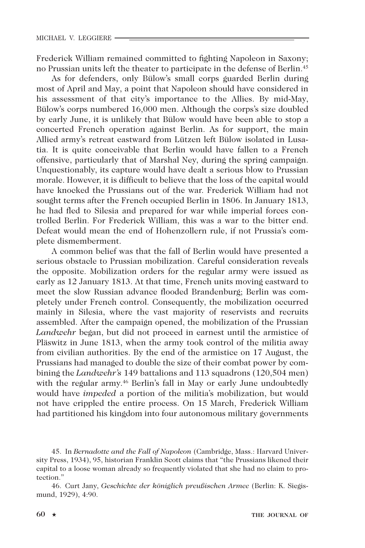Frederick William remained committed to fighting Napoleon in Saxony; no Prussian units left the theater to participate in the defense of Berlin.<sup>45</sup>

As for defenders, only Bülow's small corps guarded Berlin during most of April and May, a point that Napoleon should have considered in his assessment of that city's importance to the Allies. By mid-May, Bülow's corps numbered 16,000 men. Although the corps's size doubled by early June, it is unlikely that Bülow would have been able to stop a concerted French operation against Berlin. As for support, the main Allied army's retreat eastward from Lützen left Bülow isolated in Lusatia. It is quite conceivable that Berlin would have fallen to a French offensive, particularly that of Marshal Ney, during the spring campaign. Unquestionably, its capture would have dealt a serious blow to Prussian morale. However, it is difficult to believe that the loss of the capital would have knocked the Prussians out of the war. Frederick William had not sought terms after the French occupied Berlin in 1806. In January 1813, he had fled to Silesia and prepared for war while imperial forces controlled Berlin. For Frederick William, this was a war to the bitter end. Defeat would mean the end of Hohenzollern rule, if not Prussia's complete dismemberment.

A common belief was that the fall of Berlin would have presented a serious obstacle to Prussian mobilization. Careful consideration reveals the opposite. Mobilization orders for the regular army were issued as early as 12 January 1813. At that time, French units moving eastward to meet the slow Russian advance flooded Brandenburg; Berlin was completely under French control. Consequently, the mobilization occurred mainly in Silesia, where the vast majority of reservists and recruits assembled. After the campaign opened, the mobilization of the Prussian *Landwehr* began, but did not proceed in earnest until the armistice of Pläswitz in June 1813, when the army took control of the militia away from civilian authorities. By the end of the armistice on 17 August, the Prussians had managed to double the size of their combat power by combining the *Landwehr's* 149 battalions and 113 squadrons (120,504 men) with the regular army.<sup>46</sup> Berlin's fall in May or early June undoubtedly would have *impeded* a portion of the militia's mobilization, but would not have crippled the entire process. On 15 March, Frederick William had partitioned his kingdom into four autonomous military governments

45. In *Bernadotte and the Fall of Napoleon* (Cambridge, Mass.: Harvard University Press, 1934), 95, historian Franklin Scott claims that "the Prussians likened their capital to a loose woman already so frequently violated that she had no claim to protection."

46. Curt Jany, *Geschichte der königlich preußischen Armee* (Berlin: K. Siegismund, 1929), 4:90.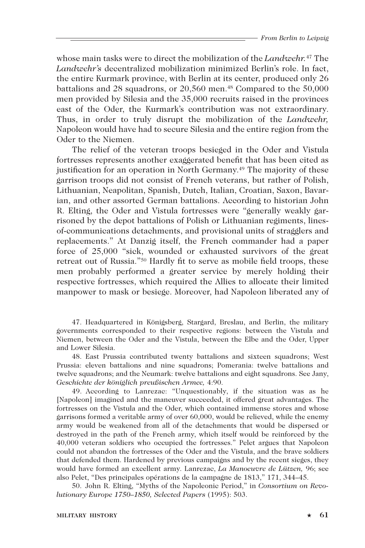whose main tasks were to direct the mobilization of the *Landwehr.*<sup>47</sup> The *Landwehr's* decentralized mobilization minimized Berlin's role. In fact, the entire Kurmark province, with Berlin at its center, produced only 26 battalions and 28 squadrons, or 20,560 men.<sup>48</sup> Compared to the 50,000 men provided by Silesia and the 35,000 recruits raised in the provinces east of the Oder, the Kurmark's contribution was not extraordinary. Thus, in order to truly disrupt the mobilization of the *Landwehr,* Napoleon would have had to secure Silesia and the entire region from the Oder to the Niemen.

The relief of the veteran troops besieged in the Oder and Vistula fortresses represents another exaggerated benefit that has been cited as justification for an operation in North Germany.49 The majority of these garrison troops did not consist of French veterans, but rather of Polish, Lithuanian, Neapolitan, Spanish, Dutch, Italian, Croatian, Saxon, Bavarian, and other assorted German battalions. According to historian John R. Elting, the Oder and Vistula fortresses were "generally weakly garrisoned by the depot battalions of Polish or Lithuanian regiments, linesof-communications detachments, and provisional units of stragglers and replacements." At Danzig itself, the French commander had a paper force of 25,000 "sick, wounded or exhausted survivors of the great retreat out of Russia."50 Hardly fit to serve as mobile field troops, these men probably performed a greater service by merely holding their respective fortresses, which required the Allies to allocate their limited manpower to mask or besiege. Moreover, had Napoleon liberated any of

47. Headquartered in Königsberg, Stargard, Breslau, and Berlin, the military governments corresponded to their respective regions: between the Vistula and Niemen, between the Oder and the Vistula, between the Elbe and the Oder, Upper and Lower Silesia.

48. East Prussia contributed twenty battalions and sixteen squadrons; West Prussia: eleven battalions and nine squadrons; Pomerania: twelve battalions and twelve squadrons; and the Neumark: twelve battalions and eight squadrons. See Jany, *Geschichte der königlich preußischen Armee,* 4:90.

49. According to Lanrezac: "Unquestionably, if the situation was as he [Napoleon] imagined and the maneuver succeeded, it offered great advantages. The fortresses on the Vistula and the Oder, which contained immense stores and whose garrisons formed a veritable army of over 60,000, would be relieved, while the enemy army would be weakened from all of the detachments that would be dispersed or destroyed in the path of the French army, which itself would be reinforced by the 40,000 veteran soldiers who occupied the fortresses." Pelet argues that Napoleon could not abandon the fortresses of the Oder and the Vistula, and the brave soldiers that defended them. Hardened by previous campaigns and by the recent sieges, they would have formed an excellent army. Lanrezac, *La Manoeuvre de Lützen,* 96; see also Pelet, "Des principales opérations de la campagne de 1813," 171, 344–45.

50. John R. Elting, "Myths of the Napoleonic Period," in *Consortium on Revolutionary Europe 1750–1850, Selected Papers* (1995): 503.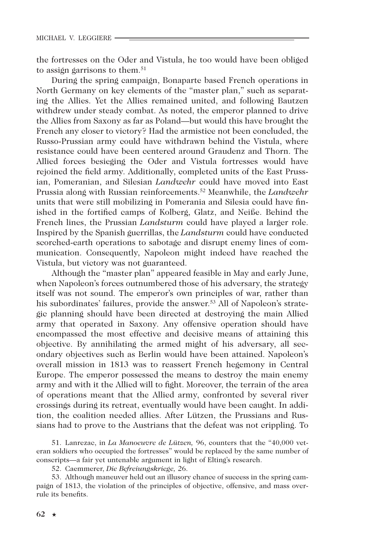the fortresses on the Oder and Vistula, he too would have been obliged to assign garrisons to them.<sup>51</sup>

During the spring campaign, Bonaparte based French operations in North Germany on key elements of the "master plan," such as separating the Allies. Yet the Allies remained united, and following Bautzen withdrew under steady combat. As noted, the emperor planned to drive the Allies from Saxony as far as Poland—but would this have brought the French any closer to victory? Had the armistice not been concluded, the Russo-Prussian army could have withdrawn behind the Vistula, where resistance could have been centered around Graudenz and Thorn. The Allied forces besieging the Oder and Vistula fortresses would have rejoined the field army. Additionally, completed units of the East Prussian, Pomeranian, and Silesian *Landwehr* could have moved into East Prussia along with Russian reinforcements.52 Meanwhile, the *Landwehr* units that were still mobilizing in Pomerania and Silesia could have finished in the fortified camps of Kolberg, Glatz, and Neiße. Behind the French lines, the Prussian *Landsturm* could have played a larger role. Inspired by the Spanish guerrillas, the *Landsturm* could have conducted scorched-earth operations to sabotage and disrupt enemy lines of communication. Consequently, Napoleon might indeed have reached the Vistula, but victory was not guaranteed.

Although the "master plan" appeared feasible in May and early June, when Napoleon's forces outnumbered those of his adversary, the strategy itself was not sound. The emperor's own principles of war, rather than his subordinates' failures, provide the answer.<sup>53</sup> All of Napoleon's strategic planning should have been directed at destroying the main Allied army that operated in Saxony. Any offensive operation should have encompassed the most effective and decisive means of attaining this objective. By annihilating the armed might of his adversary, all secondary objectives such as Berlin would have been attained. Napoleon's overall mission in 1813 was to reassert French hegemony in Central Europe. The emperor possessed the means to destroy the main enemy army and with it the Allied will to fight. Moreover, the terrain of the area of operations meant that the Allied army, confronted by several river crossings during its retreat, eventually would have been caught. In addition, the coalition needed allies. After Lützen, the Prussians and Russians had to prove to the Austrians that the defeat was not crippling. To

52. Caemmerer, *Die Befreiungskriege,* 26.

<sup>51.</sup> Lanrezac, in *La Manoeuvre de Lützen,* 96, counters that the "40,000 veteran soldiers who occupied the fortresses" would be replaced by the same number of conscripts—a fair yet untenable argument in light of Elting's research.

<sup>53.</sup> Although maneuver held out an illusory chance of success in the spring campaign of 1813, the violation of the principles of objective, offensive, and mass overrule its benefits.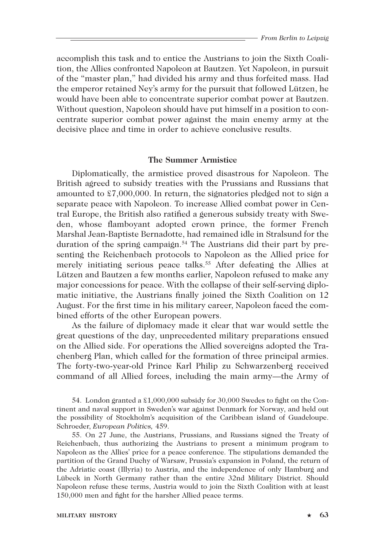accomplish this task and to entice the Austrians to join the Sixth Coalition, the Allies confronted Napoleon at Bautzen. Yet Napoleon, in pursuit of the "master plan," had divided his army and thus forfeited mass. Had the emperor retained Ney's army for the pursuit that followed Lützen, he would have been able to concentrate superior combat power at Bautzen. Without question, Napoleon should have put himself in a position to concentrate superior combat power against the main enemy army at the decisive place and time in order to achieve conclusive results.

#### **The Summer Armistice**

Diplomatically, the armistice proved disastrous for Napoleon. The British agreed to subsidy treaties with the Prussians and Russians that amounted to £7,000,000. In return, the signatories pledged not to sign a separate peace with Napoleon. To increase Allied combat power in Central Europe, the British also ratified a generous subsidy treaty with Sweden, whose flamboyant adopted crown prince, the former French Marshal Jean-Baptiste Bernadotte, had remained idle in Stralsund for the duration of the spring campaign.<sup>54</sup> The Austrians did their part by presenting the Reichenbach protocols to Napoleon as the Allied price for merely initiating serious peace talks.55 After defeating the Allies at Lützen and Bautzen a few months earlier, Napoleon refused to make any major concessions for peace. With the collapse of their self-serving diplomatic initiative, the Austrians finally joined the Sixth Coalition on 12 August. For the first time in his military career, Napoleon faced the combined efforts of the other European powers.

As the failure of diplomacy made it clear that war would settle the great questions of the day, unprecedented military preparations ensued on the Allied side. For operations the Allied sovereigns adopted the Trachenberg Plan, which called for the formation of three principal armies. The forty-two-year-old Prince Karl Philip zu Schwarzenberg received command of all Allied forces, including the main army—the Army of

54. London granted a £1,000,000 subsidy for 30,000 Swedes to fight on the Continent and naval support in Sweden's war against Denmark for Norway, and held out the possibility of Stockholm's acquisition of the Caribbean island of Guadeloupe. Schroeder, *European Politics,* 459.

55. On 27 June, the Austrians, Prussians, and Russians signed the Treaty of Reichenbach, thus authorizing the Austrians to present a minimum program to Napoleon as the Allies' price for a peace conference. The stipulations demanded the partition of the Grand Duchy of Warsaw, Prussia's expansion in Poland, the return of the Adriatic coast (Illyria) to Austria, and the independence of only Hamburg and Lübeck in North Germany rather than the entire 32nd Military District. Should Napoleon refuse these terms, Austria would to join the Sixth Coalition with at least 150,000 men and fight for the harsher Allied peace terms.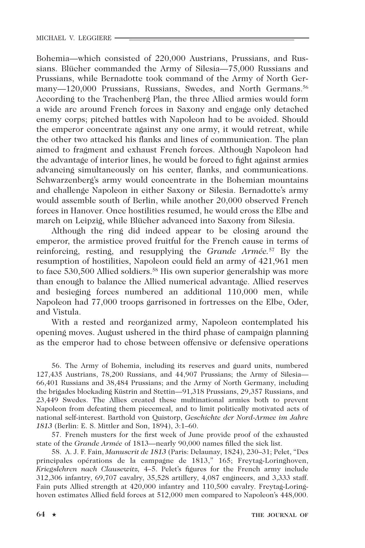Bohemia—which consisted of 220,000 Austrians, Prussians, and Russians. Blücher commanded the Army of Silesia—75,000 Russians and Prussians, while Bernadotte took command of the Army of North Germany-120,000 Prussians, Russians, Swedes, and North Germans.<sup>56</sup> According to the Trachenberg Plan, the three Allied armies would form a wide arc around French forces in Saxony and engage only detached enemy corps; pitched battles with Napoleon had to be avoided. Should the emperor concentrate against any one army, it would retreat, while the other two attacked his flanks and lines of communication. The plan aimed to fragment and exhaust French forces. Although Napoleon had the advantage of interior lines, he would be forced to fight against armies advancing simultaneously on his center, flanks, and communications. Schwarzenberg's army would concentrate in the Bohemian mountains and challenge Napoleon in either Saxony or Silesia. Bernadotte's army would assemble south of Berlin, while another 20,000 observed French forces in Hanover. Once hostilities resumed, he would cross the Elbe and march on Leipzig, while Blücher advanced into Saxony from Silesia.

Although the ring did indeed appear to be closing around the emperor, the armistice proved fruitful for the French cause in terms of reinforcing, resting, and resupplying the *Grande Armée.*<sup>57</sup> By the resumption of hostilities, Napoleon could field an army of 421,961 men to face 530,500 Allied soldiers.<sup>58</sup> His own superior generalship was more than enough to balance the Allied numerical advantage. Allied reserves and besieging forces numbered an additional 110,000 men, while Napoleon had 77,000 troops garrisoned in fortresses on the Elbe, Oder, and Vistula.

With a rested and reorganized army, Napoleon contemplated his opening moves. August ushered in the third phase of campaign planning as the emperor had to chose between offensive or defensive operations

56. The Army of Bohemia, including its reserves and guard units, numbered 127,435 Austrians, 78,200 Russians, and 44,907 Prussians; the Army of Silesia— 66,401 Russians and 38,484 Prussians; and the Army of North Germany, including the brigades blockading Küstrin and Stettin—91,318 Prussians, 29,357 Russians, and 23,449 Swedes. The Allies created these multinational armies both to prevent Napoleon from defeating them piecemeal, and to limit politically motivated acts of national self-interest. Barthold von Quistorp, *Geschichte der Nord-Armee im Jahre 1813* (Berlin: E. S. Mittler and Son, 1894), 3:1–60.

57. French musters for the first week of June provide proof of the exhausted state of the *Grande Armée* of 1813—nearly 90,000 names filled the sick list.

58. A. J. F. Fain, *Manuscrit de 1813* (Paris: Delaunay, 1824), 230–31; Pelet, "Des principales opérations de la campagne de 1813," 165; Freytag-Loringhoven, *Kriegslehren nach Clausewitz,* 4–5. Pelet's figures for the French army include 312,306 infantry, 69,707 cavalry, 35,528 artillery, 4,087 engineers, and 3,333 staff. Fain puts Allied strength at 420,000 infantry and 110,500 cavalry. Freytag-Loringhoven estimates Allied field forces at 512,000 men compared to Napoleon's 448,000.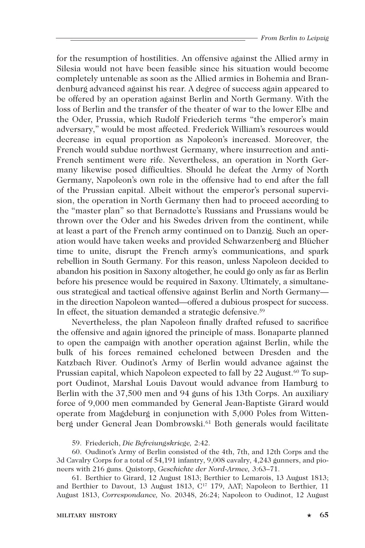for the resumption of hostilities. An offensive against the Allied army in Silesia would not have been feasible since his situation would become completely untenable as soon as the Allied armies in Bohemia and Brandenburg advanced against his rear. A degree of success again appeared to be offered by an operation against Berlin and North Germany. With the loss of Berlin and the transfer of the theater of war to the lower Elbe and the Oder, Prussia, which Rudolf Friederich terms "the emperor's main adversary," would be most affected. Frederick William's resources would decrease in equal proportion as Napoleon's increased. Moreover, the French would subdue northwest Germany, where insurrection and anti-French sentiment were rife. Nevertheless, an operation in North Germany likewise posed difficulties. Should he defeat the Army of North Germany, Napoleon's own role in the offensive had to end after the fall of the Prussian capital. Albeit without the emperor's personal supervision, the operation in North Germany then had to proceed according to the "master plan" so that Bernadotte's Russians and Prussians would be thrown over the Oder and his Swedes driven from the continent, while at least a part of the French army continued on to Danzig. Such an operation would have taken weeks and provided Schwarzenberg and Blücher time to unite, disrupt the French army's communications, and spark rebellion in South Germany. For this reason, unless Napoleon decided to abandon his position in Saxony altogether, he could go only as far as Berlin before his presence would be required in Saxony. Ultimately, a simultaneous strategical and tactical offensive against Berlin and North Germany in the direction Napoleon wanted—offered a dubious prospect for success. In effect, the situation demanded a strategic defensive.59

Nevertheless, the plan Napoleon finally drafted refused to sacrifice the offensive and again ignored the principle of mass. Bonaparte planned to open the campaign with another operation against Berlin, while the bulk of his forces remained echeloned between Dresden and the Katzbach River. Oudinot's Army of Berlin would advance against the Prussian capital, which Napoleon expected to fall by 22 August.<sup>60</sup> To support Oudinot, Marshal Louis Davout would advance from Hamburg to Berlin with the 37,500 men and 94 guns of his 13th Corps. An auxiliary force of 9,000 men commanded by General Jean-Baptiste Girard would operate from Magdeburg in conjunction with 5,000 Poles from Wittenberg under General Jean Dombrowski.<sup>61</sup> Both generals would facilitate

59. Friederich, *Die Befreiungskriege,* 2:42.

60. Oudinot's Army of Berlin consisted of the 4th, 7th, and 12th Corps and the 3d Cavalry Corps for a total of 54,191 infantry, 9,008 cavalry, 4,243 gunners, and pioneers with 216 guns. Quistorp, *Geschichte der Nord-Armee,* 3:63–71.

61. Berthier to Girard, 12 August 1813; Berthier to Lemarois, 13 August 1813; and Berthier to Davout, 13 August 1813, C<sup>17</sup> 179, AAT; Napoleon to Berthier, 11 August 1813, *Correspondance,* No. 20348, 26:24; Napoleon to Oudinot, 12 August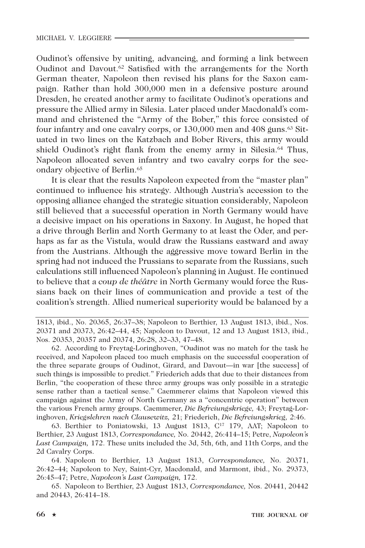Oudinot's offensive by uniting, advancing, and forming a link between Oudinot and Davout.62 Satisfied with the arrangements for the North German theater, Napoleon then revised his plans for the Saxon campaign. Rather than hold 300,000 men in a defensive posture around Dresden, he created another army to facilitate Oudinot's operations and pressure the Allied army in Silesia. Later placed under Macdonald's command and christened the "Army of the Bober," this force consisted of four infantry and one cavalry corps, or 130,000 men and 408 guns.<sup>63</sup> Situated in two lines on the Katzbach and Bober Rivers, this army would shield Oudinot's right flank from the enemy army in Silesia.64 Thus, Napoleon allocated seven infantry and two cavalry corps for the secondary objective of Berlin.65

It is clear that the results Napoleon expected from the "master plan" continued to influence his strategy. Although Austria's accession to the opposing alliance changed the strategic situation considerably, Napoleon still believed that a successful operation in North Germany would have a decisive impact on his operations in Saxony. In August, he hoped that a drive through Berlin and North Germany to at least the Oder, and perhaps as far as the Vistula, would draw the Russians eastward and away from the Austrians. Although the aggressive move toward Berlin in the spring had not induced the Prussians to separate from the Russians, such calculations still influenced Napoleon's planning in August. He continued to believe that a *coup de théâtre* in North Germany would force the Russians back on their lines of communication and provide a test of the coalition's strength. Allied numerical superiority would be balanced by a

1813, ibid., No. 20365, 26:37–38; Napoleon to Berthier, 13 August 1813, ibid., Nos. 20371 and 20373, 26:42–44, 45; Napoleon to Davout, 12 and 13 August 1813, ibid., Nos. 20353, 20357 and 20374, 26:28, 32–33, 47–48.

62. According to Freytag-Loringhoven, "Oudinot was no match for the task he received, and Napoleon placed too much emphasis on the successful cooperation of the three separate groups of Oudinot, Girard, and Davout—in war [the success] of such things is impossible to predict." Friederich adds that due to their distances from Berlin, "the cooperation of these three army groups was only possible in a strategic sense rather than a tactical sense." Caemmerer claims that Napoleon viewed this campaign against the Army of North Germany as a "concentric operation" between the various French army groups. Caemmerer, *Die Befreiungskriege,* 43; Freytag-Loringhoven, *Kriegslehren nach Clausewitz,* 21; Friederich, *Die Befreiungskrieg,* 2:46.

63. Berthier to Poniatowski, 13 August 1813, C17 179, AAT; Napoleon to Berthier, 23 August 1813, *Correspondance,* No. 20442, 26:414–15; Petre, *Napoleon's Last Campaign,* 172. These units included the 3d, 5th, 6th, and 11th Corps, and the 2d Cavalry Corps.

64. Napoleon to Berthier, 13 August 1813, *Correspondance,* No. 20371, 26:42–44; Napoleon to Ney, Saint-Cyr, Macdonald, and Marmont, ibid., No. 29373, 26:45–47; Petre, *Napoleon's Last Campaign,* 172.

65. Napoleon to Berthier, 23 August 1813, *Correspondance,* Nos. 20441, 20442 and 20443, 26:414–18.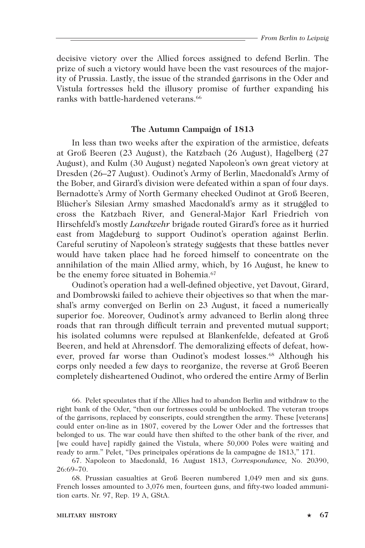decisive victory over the Allied forces assigned to defend Berlin. The prize of such a victory would have been the vast resources of the majority of Prussia. Lastly, the issue of the stranded garrisons in the Oder and Vistula fortresses held the illusory promise of further expanding his ranks with battle-hardened veterans.<sup>66</sup>

## **The Autumn Campaign of 1813**

In less than two weeks after the expiration of the armistice, defeats at Groß Beeren (23 August), the Katzbach (26 August), Hagelberg (27 August), and Kulm (30 August) negated Napoleon's own great victory at Dresden (26–27 August). Oudinot's Army of Berlin, Macdonald's Army of the Bober, and Girard's division were defeated within a span of four days. Bernadotte's Army of North Germany checked Oudinot at Groß Beeren, Blücher's Silesian Army smashed Macdonald's army as it struggled to cross the Katzbach River, and General-Major Karl Friedrich von Hirschfeld's mostly *Landwehr* brigade routed Girard's force as it hurried east from Magdeburg to support Oudinot's operation against Berlin. Careful scrutiny of Napoleon's strategy suggests that these battles never would have taken place had he forced himself to concentrate on the annihilation of the main Allied army, which, by 16 August, he knew to be the enemy force situated in Bohemia.<sup>67</sup>

Oudinot's operation had a well-defined objective, yet Davout, Girard, and Dombrowski failed to achieve their objectives so that when the marshal's army converged on Berlin on 23 August, it faced a numerically superior foe. Moreover, Oudinot's army advanced to Berlin along three roads that ran through difficult terrain and prevented mutual support; his isolated columns were repulsed at Blankenfelde, defeated at Groß Beeren, and held at Ahrensdorf. The demoralizing effects of defeat, however, proved far worse than Oudinot's modest losses.<sup>68</sup> Although his corps only needed a few days to reorganize, the reverse at Groß Beeren completely disheartened Oudinot, who ordered the entire Army of Berlin

66. Pelet speculates that if the Allies had to abandon Berlin and withdraw to the right bank of the Oder, "then our fortresses could be unblocked. The veteran troops of the garrisons, replaced by conscripts, could strengthen the army. These [veterans] could enter on-line as in 1807, covered by the Lower Oder and the fortresses that belonged to us. The war could have then shifted to the other bank of the river, and [we could have] rapidly gained the Vistula, where 50,000 Poles were waiting and ready to arm." Pelet, "Des principales opérations de la campagne de 1813," 171.

67. Napoleon to Macdonald, 16 August 1813, *Correspondance,* No. 20390, 26:69–70.

68. Prussian casualties at Groß Beeren numbered 1,049 men and six guns. French losses amounted to 3,076 men, fourteen guns, and fifty-two loaded ammunition carts. Nr. 97, Rep. 19 A, GStA.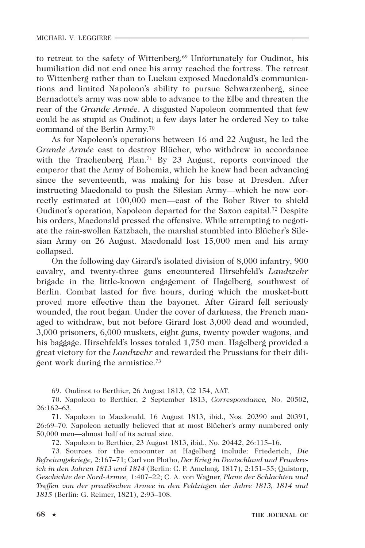to retreat to the safety of Wittenberg.<sup>69</sup> Unfortunately for Oudinot, his humiliation did not end once his army reached the fortress. The retreat to Wittenberg rather than to Luckau exposed Macdonald's communications and limited Napoleon's ability to pursue Schwarzenberg, since Bernadotte's army was now able to advance to the Elbe and threaten the rear of the *Grande Armée*. A disgusted Napoleon commented that few could be as stupid as Oudinot; a few days later he ordered Ney to take command of the Berlin Army.70

As for Napoleon's operations between 16 and 22 August, he led the *Grande Armée* east to destroy Blücher, who withdrew in accordance with the Trachenberg Plan.<sup>71</sup> By 23 August, reports convinced the emperor that the Army of Bohemia, which he knew had been advancing since the seventeenth, was making for his base at Dresden. After instructing Macdonald to push the Silesian Army—which he now correctly estimated at 100,000 men—east of the Bober River to shield Oudinot's operation, Napoleon departed for the Saxon capital.72 Despite his orders, Macdonald pressed the offensive. While attempting to negotiate the rain-swollen Katzbach, the marshal stumbled into Blücher's Silesian Army on 26 August. Macdonald lost 15,000 men and his army collapsed.

On the following day Girard's isolated division of 8,000 infantry, 900 cavalry, and twenty-three guns encountered Hirschfeld's *Landwehr* brigade in the little-known engagement of Hagelberg, southwest of Berlin. Combat lasted for five hours, during which the musket-butt proved more effective than the bayonet. After Girard fell seriously wounded, the rout began. Under the cover of darkness, the French managed to withdraw, but not before Girard lost 3,000 dead and wounded, 3,000 prisoners, 6,000 muskets, eight guns, twenty powder wagons, and his baggage. Hirschfeld's losses totaled 1,750 men. Hagelberg provided a great victory for the *Landwehr* and rewarded the Prussians for their diligent work during the armistice.73

69. Oudinot to Berthier, 26 August 1813, C2 154, AAT.

70. Napoleon to Berthier, 2 September 1813, *Correspondance,* No. 20502, 26:162–63.

71. Napoleon to Macdonald, 16 August 1813, ibid., Nos. 20390 and 20391, 26:69–70. Napoleon actually believed that at most Blücher's army numbered only 50,000 men—almost half of its actual size.

72. Napoleon to Berthier, 23 August 1813, ibid., No. 20442, 26:115–16.

73. Sources for the encounter at Hagelberg include: Friederich, *Die Befreiungskriege,* 2:167–71; Carl von Plotho, *Der Krieg in Deutschland und Frankreich in den Jahren 1813 und 1814* (Berlin: C. F. Amelang, 1817), 2:151–55; Quistorp, *Geschichte der Nord-Armee,* 1:407–22; C. A. von Wagner, *Plane der Schlachten und Treffen von der preußischen Armee in den Feldzügen der Jahre 1813, 1814 und 1815* (Berlin: G. Reimer, 1821), 2:93–108.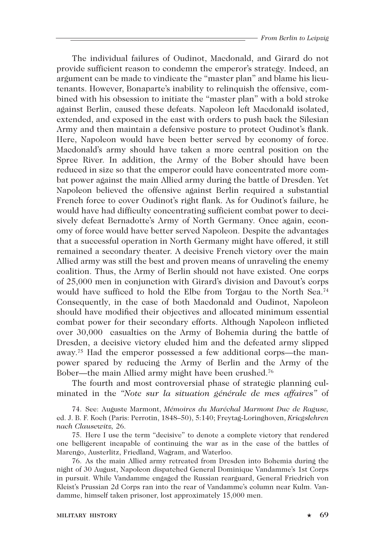The individual failures of Oudinot, Macdonald, and Girard do not provide sufficient reason to condemn the emperor's strategy. Indeed, an argument can be made to vindicate the "master plan" and blame his lieutenants. However, Bonaparte's inability to relinquish the offensive, combined with his obsession to initiate the "master plan" with a bold stroke against Berlin, caused these defeats. Napoleon left Macdonald isolated, extended, and exposed in the east with orders to push back the Silesian Army and then maintain a defensive posture to protect Oudinot's flank. Here, Napoleon would have been better served by economy of force. Macdonald's army should have taken a more central position on the Spree River. In addition, the Army of the Bober should have been reduced in size so that the emperor could have concentrated more combat power against the main Allied army during the battle of Dresden. Yet Napoleon believed the offensive against Berlin required a substantial French force to cover Oudinot's right flank. As for Oudinot's failure, he would have had difficulty concentrating sufficient combat power to decisively defeat Bernadotte's Army of North Germany. Once again, economy of force would have better served Napoleon. Despite the advantages that a successful operation in North Germany might have offered, it still remained a secondary theater. A decisive French victory over the main Allied army was still the best and proven means of unraveling the enemy coalition. Thus, the Army of Berlin should not have existed. One corps of 25,000 men in conjunction with Girard's division and Davout's corps would have sufficed to hold the Elbe from Torgau to the North Sea.<sup>74</sup> Consequently, in the case of both Macdonald and Oudinot, Napoleon should have modified their objectives and allocated minimum essential combat power for their secondary efforts. Although Napoleon inflicted over 30,000 casualties on the Army of Bohemia during the battle of Dresden, a decisive victory eluded him and the defeated army slipped away.75 Had the emperor possessed a few additional corps—the manpower spared by reducing the Army of Berlin and the Army of the Bober—the main Allied army might have been crushed.76

The fourth and most controversial phase of strategic planning culminated in the *"Note sur la situation générale de mes affaires"* of

74. See: Auguste Marmont, *Mémoires du Maréchal Marmont Duc de Raguse,* ed. J. B. F. Koch (Paris: Perrotin, 1848–50), 5:140; Freytag-Loringhoven, *Kriegslehren nach Clausewitz,* 26.

75. Here I use the term "decisive" to denote a complete victory that rendered one belligerent incapable of continuing the war as in the case of the battles of Marengo, Austerlitz, Friedland, Wagram, and Waterloo.

76. As the main Allied army retreated from Dresden into Bohemia during the night of 30 August, Napoleon dispatched General Dominique Vandamme's 1st Corps in pursuit. While Vandamme engaged the Russian rearguard, General Friedrich von Kleist's Prussian 2d Corps ran into the rear of Vandamme's column near Kulm. Vandamme, himself taken prisoner, lost approximately 15,000 men.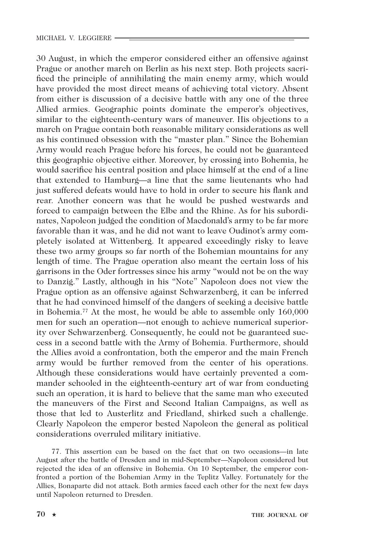30 August, in which the emperor considered either an offensive against Prague or another march on Berlin as his next step. Both projects sacrificed the principle of annihilating the main enemy army, which would have provided the most direct means of achieving total victory. Absent from either is discussion of a decisive battle with any one of the three Allied armies. Geographic points dominate the emperor's objectives, similar to the eighteenth-century wars of maneuver. His objections to a march on Prague contain both reasonable military considerations as well as his continued obsession with the "master plan." Since the Bohemian Army would reach Prague before his forces, he could not be guaranteed this geographic objective either. Moreover, by crossing into Bohemia, he would sacrifice his central position and place himself at the end of a line that extended to Hamburg—a line that the same lieutenants who had just suffered defeats would have to hold in order to secure his flank and rear. Another concern was that he would be pushed westwards and forced to campaign between the Elbe and the Rhine. As for his subordinates, Napoleon judged the condition of Macdonald's army to be far more favorable than it was, and he did not want to leave Oudinot's army completely isolated at Wittenberg. It appeared exceedingly risky to leave these two army groups so far north of the Bohemian mountains for any length of time. The Prague operation also meant the certain loss of his garrisons in the Oder fortresses since his army "would not be on the way to Danzig." Lastly, although in his "Note" Napoleon does not view the Prague option as an offensive against Schwarzenberg, it can be inferred that he had convinced himself of the dangers of seeking a decisive battle in Bohemia.77 At the most, he would be able to assemble only 160,000 men for such an operation—not enough to achieve numerical superiority over Schwarzenberg. Consequently, he could not be guaranteed success in a second battle with the Army of Bohemia. Furthermore, should the Allies avoid a confrontation, both the emperor and the main French army would be further removed from the center of his operations. Although these considerations would have certainly prevented a commander schooled in the eighteenth-century art of war from conducting such an operation, it is hard to believe that the same man who executed the maneuvers of the First and Second Italian Campaigns, as well as those that led to Austerlitz and Friedland, shirked such a challenge. Clearly Napoleon the emperor bested Napoleon the general as political considerations overruled military initiative.

77. This assertion can be based on the fact that on two occasions—in late August after the battle of Dresden and in mid-September—Napoleon considered but rejected the idea of an offensive in Bohemia. On 10 September, the emperor confronted a portion of the Bohemian Army in the Teplitz Valley. Fortunately for the Allies, Bonaparte did not attack. Both armies faced each other for the next few days until Napoleon returned to Dresden.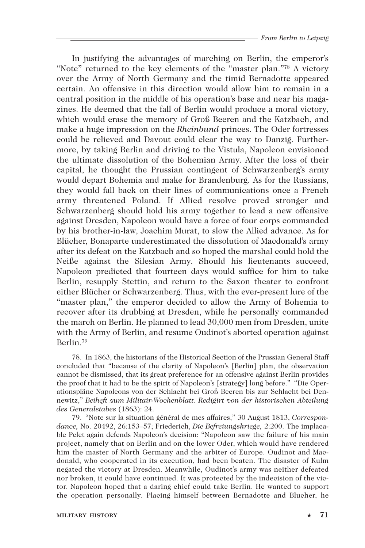In justifying the advantages of marching on Berlin, the emperor's "Note" returned to the key elements of the "master plan."78 A victory over the Army of North Germany and the timid Bernadotte appeared certain. An offensive in this direction would allow him to remain in a central position in the middle of his operation's base and near his magazines. He deemed that the fall of Berlin would produce a moral victory, which would erase the memory of Groß Beeren and the Katzbach, and make a huge impression on the *Rheinbund* princes. The Oder fortresses could be relieved and Davout could clear the way to Danzig. Furthermore, by taking Berlin and driving to the Vistula, Napoleon envisioned the ultimate dissolution of the Bohemian Army. After the loss of their capital, he thought the Prussian contingent of Schwarzenberg's army would depart Bohemia and make for Brandenburg. As for the Russians, they would fall back on their lines of communications once a French army threatened Poland. If Allied resolve proved stronger and Schwarzenberg should hold his army together to lead a new offensive against Dresden, Napoleon would have a force of four corps commanded by his brother-in-law, Joachim Murat, to slow the Allied advance. As for Blücher, Bonaparte underestimated the dissolution of Macdonald's army after its defeat on the Katzbach and so hoped the marshal could hold the Neiße against the Silesian Army. Should his lieutenants succeed, Napoleon predicted that fourteen days would suffice for him to take Berlin, resupply Stettin, and return to the Saxon theater to confront either Blücher or Schwarzenberg. Thus, with the ever-present lure of the "master plan," the emperor decided to allow the Army of Bohemia to recover after its drubbing at Dresden, while he personally commanded the march on Berlin. He planned to lead 30,000 men from Dresden, unite with the Army of Berlin, and resume Oudinot's aborted operation against Berlin.79

78. In 1863, the historians of the Historical Section of the Prussian General Staff concluded that "because of the clarity of Napoleon's [Berlin] plan, the observation cannot be dismissed, that its great preference for an offensive against Berlin provides the proof that it had to be the spirit of Napoleon's [strategy] long before." "Die Operationspläne Napoleons von der Schlacht bei Groß Beeren bis zur Schlacht bei Dennewitz," *Beiheft zum Militair-Wochenblatt. Redigirt von der historischen Abteilung des Generalstabes* (1863): 24.

79. "Note sur la situation général de mes affaires," 30 August 1813, *Correspondance,* No. 20492, 26:153–57; Friederich, *Die Befreiungskriege,* 2:200. The implacable Pelet again defends Napoleon's decision: "Napoleon saw the failure of his main project, namely that on Berlin and on the lower Oder, which would have rendered him the master of North Germany and the arbiter of Europe. Oudinot and Macdonald, who cooperated in its execution, had been beaten. The disaster of Kulm negated the victory at Dresden. Meanwhile, Oudinot's army was neither defeated nor broken, it could have continued. It was protected by the indecision of the victor. Napoleon hoped that a daring chief could take Berlin. He wanted to support the operation personally. Placing himself between Bernadotte and Blucher, he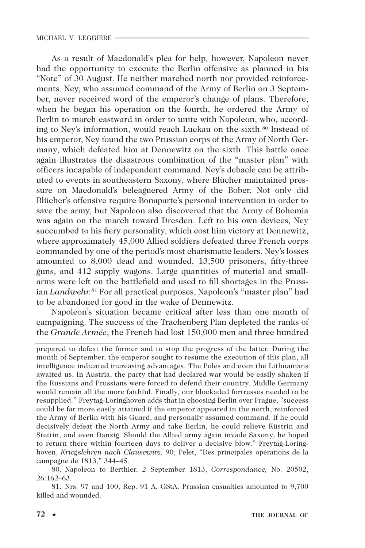As a result of Macdonald's plea for help, however, Napoleon never had the opportunity to execute the Berlin offensive as planned in his "Note" of 30 August. He neither marched north nor provided reinforcements. Ney, who assumed command of the Army of Berlin on 3 September, never received word of the emperor's change of plans. Therefore, when he began his operation on the fourth, he ordered the Army of Berlin to march eastward in order to unite with Napoleon, who, according to Ney's information, would reach Luckau on the sixth.80 Instead of his emperor, Ney found the two Prussian corps of the Army of North Germany, which defeated him at Dennewitz on the sixth. This battle once again illustrates the disastrous combination of the "master plan" with officers incapable of independent command. Ney's debacle can be attributed to events in southeastern Saxony, where Blücher maintained pressure on Macdonald's beleaguered Army of the Bober. Not only did Blücher's offensive require Bonaparte's personal intervention in order to save the army, but Napoleon also discovered that the Army of Bohemia was again on the march toward Dresden. Left to his own devices, Ney succumbed to his fiery personality, which cost him victory at Dennewitz, where approximately 45,000 Allied soldiers defeated three French corps commanded by one of the period's most charismatic leaders. Ney's losses amounted to 8,000 dead and wounded, 13,500 prisoners, fifty-three guns, and 412 supply wagons. Large quantities of material and smallarms were left on the battlefield and used to fill shortages in the Prussian *Landwehr.*<sup>81</sup> For all practical purposes, Napoleon's "master plan" had to be abandoned for good in the wake of Dennewitz.

Napoleon's situation became critical after less than one month of campaigning. The success of the Trachenberg Plan depleted the ranks of the *Grande Armée*; the French had lost 150,000 men and three hundred

prepared to defeat the former and to stop the progress of the latter. During the month of September, the emperor sought to resume the execution of this plan; all intelligence indicated increasing advantages. The Poles and even the Lithuanians awaited us. In Austria, the party that had declared war would be easily shaken if the Russians and Prussians were forced to defend their country. Middle Germany would remain all the more faithful. Finally, our blockaded fortresses needed to be resupplied." Freytag-Loringhoven adds that in choosing Berlin over Prague, "success could be far more easily attained if the emperor appeared in the north, reinforced the Army of Berlin with his Guard, and personally assumed command. If he could decisively defeat the North Army and take Berlin, he could relieve Küstrin and Stettin, and even Danzig. Should the Allied army again invade Saxony, he hoped to return there within fourteen days to deliver a decisive blow." Freytag-Loringhoven, *Kriegslehren nach Clausewitz,* 90; Pelet, "Des principales opérations de la campagne de 1813," 344–45.

80. Napoleon to Berthier, 2 September 1813, *Correspondance,* No. 20502, 26:162–63.

81. Nrs. 97 and 100, Rep. 91 A, GStA. Prussian casualties amounted to 9,700 killed and wounded.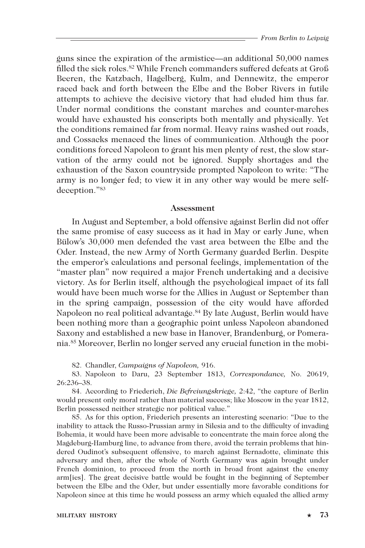guns since the expiration of the armistice—an additional 50,000 names filled the sick roles.<sup>82</sup> While French commanders suffered defeats at Groß Beeren, the Katzbach, Hagelberg, Kulm, and Dennewitz, the emperor raced back and forth between the Elbe and the Bober Rivers in futile attempts to achieve the decisive victory that had eluded him thus far. Under normal conditions the constant marches and counter-marches would have exhausted his conscripts both mentally and physically. Yet the conditions remained far from normal. Heavy rains washed out roads, and Cossacks menaced the lines of communication. Although the poor conditions forced Napoleon to grant his men plenty of rest, the slow starvation of the army could not be ignored. Supply shortages and the exhaustion of the Saxon countryside prompted Napoleon to write: "The army is no longer fed; to view it in any other way would be mere selfdeception."83

#### **Assessment**

In August and September, a bold offensive against Berlin did not offer the same promise of easy success as it had in May or early June, when Bülow's 30,000 men defended the vast area between the Elbe and the Oder. Instead, the new Army of North Germany guarded Berlin. Despite the emperor's calculations and personal feelings, implementation of the "master plan" now required a major French undertaking and a decisive victory. As for Berlin itself, although the psychological impact of its fall would have been much worse for the Allies in August or September than in the spring campaign, possession of the city would have afforded Napoleon no real political advantage.84 By late August, Berlin would have been nothing more than a geographic point unless Napoleon abandoned Saxony and established a new base in Hanover, Brandenburg, or Pomerania.85 Moreover, Berlin no longer served any crucial function in the mobi-

82. Chandler, *Campaigns of Napoleon,* 916.

83. Napoleon to Daru, 23 September 1813, *Correspondance,* No. 20619, 26:236–38.

84. According to Friederich, *Die Befreiungskriege,* 2:42, "the capture of Berlin would present only moral rather than material success; like Moscow in the year 1812, Berlin possessed neither strategic nor political value."

85. As for this option, Friederich presents an interesting scenario: "Due to the inability to attack the Russo-Prussian army in Silesia and to the difficulty of invading Bohemia, it would have been more advisable to concentrate the main force along the Magdeburg-Hamburg line, to advance from there, avoid the terrain problems that hindered Oudinot's subsequent offensive, to march against Bernadotte, eliminate this adversary and then, after the whole of North Germany was again brought under French dominion, to proceed from the north in broad front against the enemy arm[ies]. The great decisive battle would be fought in the beginning of September between the Elbe and the Oder, but under essentially more favorable conditions for Napoleon since at this time he would possess an army which equaled the allied army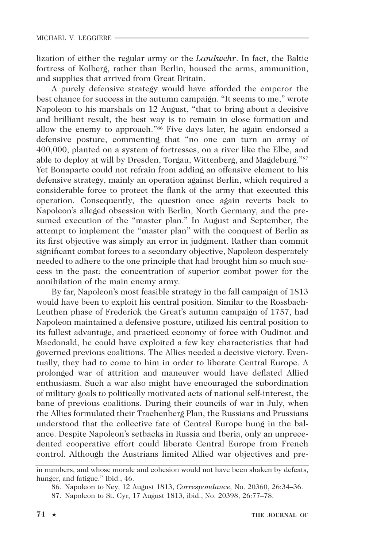lization of either the regular army or the *Landwehr*. In fact, the Baltic fortress of Kolberg, rather than Berlin, housed the arms, ammunition, and supplies that arrived from Great Britain.

A purely defensive strategy would have afforded the emperor the best chance for success in the autumn campaign. "It seems to me," wrote Napoleon to his marshals on 12 August, "that to bring about a decisive and brilliant result, the best way is to remain in close formation and allow the enemy to approach."86 Five days later, he again endorsed a defensive posture, commenting that "no one can turn an army of 400,000, planted on a system of fortresses, on a river like the Elbe, and able to deploy at will by Dresden, Torgau, Wittenberg, and Magdeburg."87 Yet Bonaparte could not refrain from adding an offensive element to his defensive strategy, mainly an operation against Berlin, which required a considerable force to protect the flank of the army that executed this operation. Consequently, the question once again reverts back to Napoleon's alleged obsession with Berlin, North Germany, and the presumed execution of the "master plan." In August and September, the attempt to implement the "master plan" with the conquest of Berlin as its first objective was simply an error in judgment. Rather than commit significant combat forces to a secondary objective, Napoleon desperately needed to adhere to the one principle that had brought him so much success in the past: the concentration of superior combat power for the annihilation of the main enemy army.

By far, Napoleon's most feasible strategy in the fall campaign of 1813 would have been to exploit his central position. Similar to the Rossbach-Leuthen phase of Frederick the Great's autumn campaign of 1757, had Napoleon maintained a defensive posture, utilized his central position to its fullest advantage, and practiced economy of force with Oudinot and Macdonald, he could have exploited a few key characteristics that had governed previous coalitions. The Allies needed a decisive victory. Eventually, they had to come to him in order to liberate Central Europe. A prolonged war of attrition and maneuver would have deflated Allied enthusiasm. Such a war also might have encouraged the subordination of military goals to politically motivated acts of national self-interest, the bane of previous coalitions. During their councils of war in July, when the Allies formulated their Trachenberg Plan, the Russians and Prussians understood that the collective fate of Central Europe hung in the balance. Despite Napoleon's setbacks in Russia and Iberia, only an unprecedented cooperative effort could liberate Central Europe from French control. Although the Austrians limited Allied war objectives and pre-

in numbers, and whose morale and cohesion would not have been shaken by defeats, hunger, and fatigue." Ibid., 46.

<sup>86.</sup> Napoleon to Ney, 12 August 1813, *Correspondance,* No. 20360, 26:34–36.

<sup>87.</sup> Napoleon to St. Cyr, 17 August 1813, ibid., No. 20398, 26:77–78.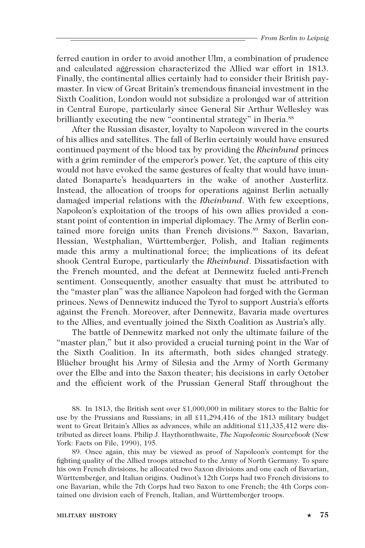ferred caution in order to avoid another Ulm, a combination of prudence and calculated aggression characterized the Allied war effort in 1813. Finally, the continental allies certainly had to consider their British paymaster. In view of Great Britain's tremendous financial investment in the Sixth Coalition, London would not subsidize a prolonged war of attrition in Central Europe, particularly since General Sir Arthur Wellesley was brilliantly executing the new "continental strategy" in Iberia.<sup>88</sup>

After the Russian disaster, loyalty to Napoleon wavered in the courts of his allies and satellites. The fall of Berlin certainly would have ensured continued payment of the blood tax by providing the *Rheinbund* princes with a grim reminder of the emperor's power. Yet, the capture of this city would not have evoked the same gestures of fealty that would have inundated Bonaparte's headquarters in the wake of another Austerlitz. Instead, the allocation of troops for operations against Berlin actually damaged imperial relations with the *Rheinbund*. With few exceptions, Napoleon's exploitation of the troops of his own allies provided a constant point of contention in imperial diplomacy. The Army of Berlin contained more foreign units than French divisions.89 Saxon, Bavarian, Hessian, Westphalian, Württemberger, Polish, and Italian regiments made this army a multinational force; the implications of its defeat shook Central Europe, particularly the *Rheinbund*. Dissatisfaction with the French mounted, and the defeat at Dennewitz fueled anti-French sentiment. Consequently, another casualty that must be attributed to the "master plan" was the alliance Napoleon had forged with the German princes. News of Dennewitz induced the Tyrol to support Austria's efforts against the French. Moreover, after Dennewitz, Bavaria made overtures to the Allies, and eventually joined the Sixth Coalition as Austria's ally.

The battle of Dennewitz marked not only the ultimate failure of the "master plan," but it also provided a crucial turning point in the War of the Sixth Coalition. In its aftermath, both sides changed strategy. Blücher brought his Army of Silesia and the Army of North Germany over the Elbe and into the Saxon theater; his decisions in early October and the efficient work of the Prussian General Staff throughout the

88. In 1813, the British sent over £1,000,000 in military stores to the Baltic for use by the Prussians and Russians; in all £11,294,416 of the 1813 military budget went to Great Britain's Allies as advances, while an additional \$11,335,412 were distributed as direct loans. Philip J. Haythornthwaite, *The Napoleonic Sourcebook* (New York: Facts on File, 1990), 195.

89. Once again, this may be viewed as proof of Napoleon's contempt for the fighting quality of the Allied troops attached to the Army of North Germany. To spare his own French divisions, he allocated two Saxon divisions and one each of Bavarian, Württemberger, and Italian origins. Oudinot's 12th Corps had two French divisions to one Bavarian, while the 7th Corps had two Saxon to one French; the 4th Corps contained one division each of French, Italian, and Württemberger troops.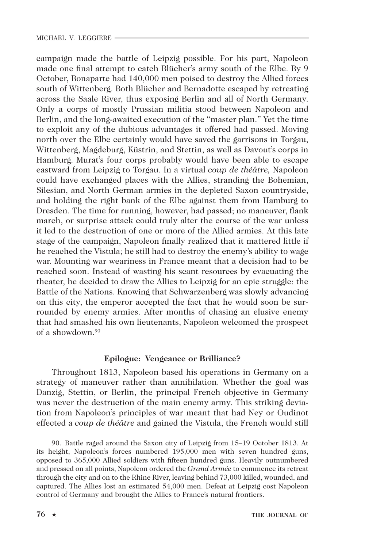campaign made the battle of Leipzig possible. For his part, Napoleon made one final attempt to catch Blücher's army south of the Elbe. By 9 October, Bonaparte had 140,000 men poised to destroy the Allied forces south of Wittenberg. Both Blücher and Bernadotte escaped by retreating across the Saale River, thus exposing Berlin and all of North Germany. Only a corps of mostly Prussian militia stood between Napoleon and Berlin, and the long-awaited execution of the "master plan." Yet the time to exploit any of the dubious advantages it offered had passed. Moving north over the Elbe certainly would have saved the garrisons in Torgau, Wittenberg, Magdeburg, Küstrin, and Stettin, as well as Davout's corps in Hamburg. Murat's four corps probably would have been able to escape eastward from Leipzig to Torgau. In a virtual *coup de théâtre,* Napoleon could have exchanged places with the Allies, stranding the Bohemian, Silesian, and North German armies in the depleted Saxon countryside, and holding the right bank of the Elbe against them from Hamburg to Dresden. The time for running, however, had passed; no maneuver, flank march, or surprise attack could truly alter the course of the war unless it led to the destruction of one or more of the Allied armies. At this late stage of the campaign, Napoleon finally realized that it mattered little if he reached the Vistula; he still had to destroy the enemy's ability to wage war. Mounting war weariness in France meant that a decision had to be reached soon. Instead of wasting his scant resources by evacuating the theater, he decided to draw the Allies to Leipzig for an epic struggle: the Battle of the Nations. Knowing that Schwarzenberg was slowly advancing on this city, the emperor accepted the fact that he would soon be surrounded by enemy armies. After months of chasing an elusive enemy that had smashed his own lieutenants, Napoleon welcomed the prospect of a showdown  $90$ 

# **Epilogue: Vengeance or Brilliance?**

Throughout 1813, Napoleon based his operations in Germany on a strategy of maneuver rather than annihilation. Whether the goal was Danzig, Stettin, or Berlin, the principal French objective in Germany was never the destruction of the main enemy army. This striking deviation from Napoleon's principles of war meant that had Ney or Oudinot effected a *coup de théâtre* and gained the Vistula, the French would still

90. Battle raged around the Saxon city of Leipzig from 15–19 October 1813. At its height, Napoleon's forces numbered 195,000 men with seven hundred guns, opposed to 365,000 Allied soldiers with fifteen hundred guns. Heavily outnumbered and pressed on all points, Napoleon ordered the *Grand Armée* to commence its retreat through the city and on to the Rhine River, leaving behind 73,000 killed, wounded, and captured. The Allies lost an estimated 54,000 men. Defeat at Leipzig cost Napoleon control of Germany and brought the Allies to France's natural frontiers.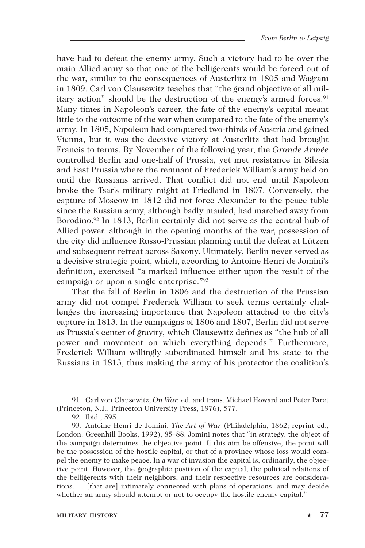have had to defeat the enemy army. Such a victory had to be over the main Allied army so that one of the belligerents would be forced out of the war, similar to the consequences of Austerlitz in 1805 and Wagram in 1809. Carl von Clausewitz teaches that "the grand objective of all military action" should be the destruction of the enemy's armed forces.<sup>91</sup> Many times in Napoleon's career, the fate of the enemy's capital meant little to the outcome of the war when compared to the fate of the enemy's army. In 1805, Napoleon had conquered two-thirds of Austria and gained Vienna, but it was the decisive victory at Austerlitz that had brought Francis to terms. By November of the following year, the *Grande Armée* controlled Berlin and one-half of Prussia, yet met resistance in Silesia and East Prussia where the remnant of Frederick William's army held on until the Russians arrived. That conflict did not end until Napoleon broke the Tsar's military might at Friedland in 1807. Conversely, the capture of Moscow in 1812 did not force Alexander to the peace table since the Russian army, although badly mauled, had marched away from Borodino.<sup>92</sup> In 1813, Berlin certainly did not serve as the central hub of Allied power, although in the opening months of the war, possession of the city did influence Russo-Prussian planning until the defeat at Lützen and subsequent retreat across Saxony. Ultimately, Berlin never served as a decisive strategic point, which, according to Antoine Henri de Jomini's definition, exercised "a marked influence either upon the result of the campaign or upon a single enterprise."93

That the fall of Berlin in 1806 and the destruction of the Prussian army did not compel Frederick William to seek terms certainly challenges the increasing importance that Napoleon attached to the city's capture in 1813. In the campaigns of 1806 and 1807, Berlin did not serve as Prussia's center of gravity, which Clausewitz defines as "the hub of all power and movement on which everything depends." Furthermore, Frederick William willingly subordinated himself and his state to the Russians in 1813, thus making the army of his protector the coalition's

91. Carl von Clausewitz, *On War,* ed. and trans. Michael Howard and Peter Paret (Princeton, N.J.: Princeton University Press, 1976), 577.

92. Ibid., 595.

93. Antoine Henri de Jomini, *The Art of War* (Philadelphia, 1862; reprint ed., London: Greenhill Books, 1992), 85–88. Jomini notes that "in strategy, the object of the campaign determines the objective point. If this aim be offensive, the point will be the possession of the hostile capital, or that of a province whose loss would compel the enemy to make peace. In a war of invasion the capital is, ordinarily, the objective point. However, the geographic position of the capital, the political relations of the belligerents with their neighbors, and their respective resources are considerations. . . [that are] intimately connected with plans of operations, and may decide whether an army should attempt or not to occupy the hostile enemy capital."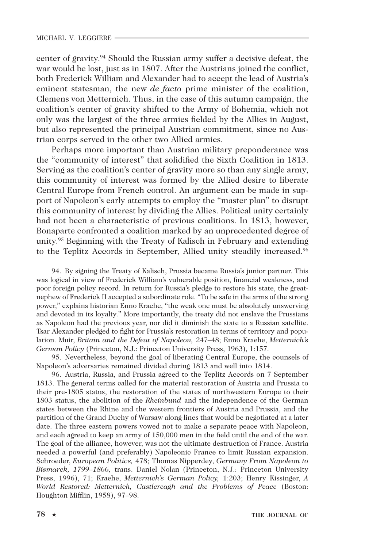center of gravity.94 Should the Russian army suffer a decisive defeat, the war would be lost, just as in 1807. After the Austrians joined the conflict, both Frederick William and Alexander had to accept the lead of Austria's eminent statesman, the new *de facto* prime minister of the coalition, Clemens von Metternich. Thus, in the case of this autumn campaign, the coalition's center of gravity shifted to the Army of Bohemia, which not only was the largest of the three armies fielded by the Allies in August, but also represented the principal Austrian commitment, since no Austrian corps served in the other two Allied armies.

Perhaps more important than Austrian military preponderance was the "community of interest" that solidified the Sixth Coalition in 1813. Serving as the coalition's center of gravity more so than any single army, this community of interest was formed by the Allied desire to liberate Central Europe from French control. An argument can be made in support of Napoleon's early attempts to employ the "master plan" to disrupt this community of interest by dividing the Allies. Political unity certainly had not been a characteristic of previous coalitions. In 1813, however, Bonaparte confronted a coalition marked by an unprecedented degree of unity.95 Beginning with the Treaty of Kalisch in February and extending to the Teplitz Accords in September, Allied unity steadily increased.96

94. By signing the Treaty of Kalisch, Prussia became Russia's junior partner. This was logical in view of Frederick William's vulnerable position, financial weakness, and poor foreign policy record. In return for Russia's pledge to restore his state, the greatnephew of Frederick II accepted a subordinate role. "To be safe in the arms of the strong power," explains historian Enno Kraehe, "the weak one must be absolutely unswerving and devoted in its loyalty." More importantly, the treaty did not enslave the Prussians as Napoleon had the previous year, nor did it diminish the state to a Russian satellite. Tsar Alexander pledged to fight for Prussia's restoration in terms of territory and population. Muir, *Britain and the Defeat of Napoleon,* 247–48; Enno Kraehe, *Metternich's German Policy* (Princeton, N.J.: Princeton University Press, 1963), 1:157.

95. Nevertheless, beyond the goal of liberating Central Europe, the counsels of Napoleon's adversaries remained divided during 1813 and well into 1814.

96. Austria, Russia, and Prussia agreed to the Teplitz Accords on 7 September 1813. The general terms called for the material restoration of Austria and Prussia to their pre-1805 status, the restoration of the states of northwestern Europe to their 1803 status, the abolition of the *Rheinbund* and the independence of the German states between the Rhine and the western frontiers of Austria and Prussia, and the partition of the Grand Duchy of Warsaw along lines that would be negotiated at a later date. The three eastern powers vowed not to make a separate peace with Napoleon, and each agreed to keep an army of 150,000 men in the field until the end of the war. The goal of the alliance, however, was not the ultimate destruction of France. Austria needed a powerful (and preferably) Napoleonic France to limit Russian expansion. Schroeder, *European Politics,* 478; Thomas Nipperdey, *Germany From Napoleon to Bismarck, 1799–1866,* trans. Daniel Nolan (Princeton, N.J.: Princeton University Press, 1996), 71; Kraehe, *Metternich's German Policy,* 1:203; Henry Kissinger, *A World Restored: Metternich, Castlereagh and the Problems of Peace* (Boston: Houghton Mifflin, 1958), 97–98.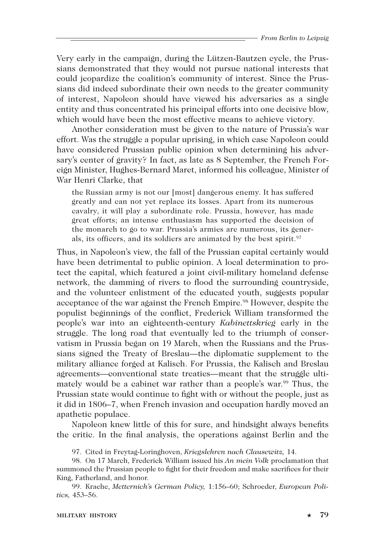Very early in the campaign, during the Lützen-Bautzen cycle, the Prussians demonstrated that they would not pursue national interests that could jeopardize the coalition's community of interest. Since the Prussians did indeed subordinate their own needs to the greater community of interest, Napoleon should have viewed his adversaries as a single entity and thus concentrated his principal efforts into one decisive blow, which would have been the most effective means to achieve victory.

Another consideration must be given to the nature of Prussia's war effort. Was the struggle a popular uprising, in which case Napoleon could have considered Prussian public opinion when determining his adversary's center of gravity? In fact, as late as 8 September, the French Foreign Minister, Hughes-Bernard Maret, informed his colleague, Minister of War Henri Clarke, that

the Russian army is not our [most] dangerous enemy. It has suffered greatly and can not yet replace its losses. Apart from its numerous cavalry, it will play a subordinate role. Prussia, however, has made great efforts; an intense enthusiasm has supported the decision of the monarch to go to war. Prussia's armies are numerous, its generals, its officers, and its soldiers are animated by the best spirit.<sup>97</sup>

Thus, in Napoleon's view, the fall of the Prussian capital certainly would have been detrimental to public opinion. A local determination to protect the capital, which featured a joint civil-military homeland defense network, the damming of rivers to flood the surrounding countryside, and the volunteer enlistment of the educated youth, suggests popular acceptance of the war against the French Empire.98 However, despite the populist beginnings of the conflict, Frederick William transformed the people's war into an eighteenth-century *Kabinettskrieg* early in the struggle. The long road that eventually led to the triumph of conservatism in Prussia began on 19 March, when the Russians and the Prussians signed the Treaty of Breslau—the diplomatic supplement to the military alliance forged at Kalisch. For Prussia, the Kalisch and Breslau agreements—conventional state treaties—meant that the struggle ultimately would be a cabinet war rather than a people's war.<sup>99</sup> Thus, the Prussian state would continue to fight with or without the people, just as it did in 1806–7, when French invasion and occupation hardly moved an apathetic populace.

Napoleon knew little of this for sure, and hindsight always benefits the critic. In the final analysis, the operations against Berlin and the

97. Cited in Freytag-Loringhoven, *Kriegslehren nach Clausewitz,* 14.

99. Kraehe, *Metternich's German Policy,* 1:156–60; Schroeder, *European Politics,* 453–56.

<sup>98.</sup> On 17 March, Frederick William issued his *An mein Volk* proclamation that summoned the Prussian people to fight for their freedom and make sacrifices for their King, Fatherland, and honor.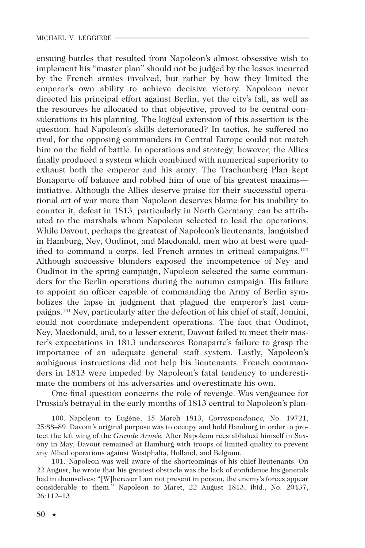ensuing battles that resulted from Napoleon's almost obsessive wish to implement his "master plan" should not be judged by the losses incurred by the French armies involved, but rather by how they limited the emperor's own ability to achieve decisive victory. Napoleon never directed his principal effort against Berlin, yet the city's fall, as well as the resources he allocated to that objective, proved to be central considerations in his planning. The logical extension of this assertion is the question: had Napoleon's skills deteriorated? In tactics, he suffered no rival, for the opposing commanders in Central Europe could not match him on the field of battle. In operations and strategy, however, the Allies finally produced a system which combined with numerical superiority to exhaust both the emperor and his army. The Trachenberg Plan kept Bonaparte off balance and robbed him of one of his greatest maxims initiative. Although the Allies deserve praise for their successful operational art of war more than Napoleon deserves blame for his inability to counter it, defeat in 1813, particularly in North Germany, can be attributed to the marshals whom Napoleon selected to lead the operations. While Davout, perhaps the greatest of Napoleon's lieutenants, languished in Hamburg, Ney, Oudinot, and Macdonald, men who at best were qualified to command a corps, led French armies in critical campaigns.100 Although successive blunders exposed the incompetence of Ney and Oudinot in the spring campaign, Napoleon selected the same commanders for the Berlin operations during the autumn campaign. His failure to appoint an officer capable of commanding the Army of Berlin symbolizes the lapse in judgment that plagued the emperor's last campaigns.101 Ney, particularly after the defection of his chief of staff, Jomini, could not coordinate independent operations. The fact that Oudinot, Ney, Macdonald, and, to a lesser extent, Davout failed to meet their master's expectations in 1813 underscores Bonaparte's failure to grasp the importance of an adequate general staff system. Lastly, Napoleon's ambiguous instructions did not help his lieutenants. French commanders in 1813 were impeded by Napoleon's fatal tendency to underestimate the numbers of his adversaries and overestimate his own.

One final question concerns the role of revenge. Was vengeance for Prussia's betrayal in the early months of 1813 central to Napoleon's plan-

100. Napoleon to Eugène, 15 March 1813, *Correspondance,* No. 19721, 25:88–89. Davout's original purpose was to occupy and hold Hamburg in order to protect the left wing of the *Grande Armée.* After Napoleon reestablished himself in Saxony in May, Davout remained at Hamburg with troops of limited quality to prevent any Allied operations against Westphalia, Holland, and Belgium.

101. Napoleon was well aware of the shortcomings of his chief lieutenants. On 22 August, he wrote that his greatest obstacle was the lack of confidence his generals had in themselves: "[W]herever I am not present in person, the enemy's forces appear considerable to them." Napoleon to Maret, 22 August 1813, ibid., No. 20437, 26:112–13.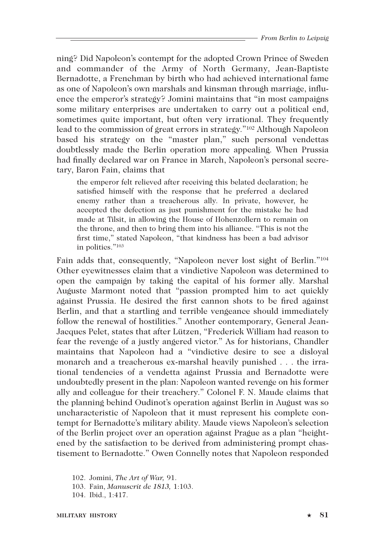ning? Did Napoleon's contempt for the adopted Crown Prince of Sweden and commander of the Army of North Germany, Jean-Baptiste Bernadotte, a Frenchman by birth who had achieved international fame as one of Napoleon's own marshals and kinsman through marriage, influence the emperor's strategy? Jomini maintains that "in most campaigns some military enterprises are undertaken to carry out a political end, sometimes quite important, but often very irrational. They frequently lead to the commission of great errors in strategy."102 Although Napoleon based his strategy on the "master plan," such personal vendettas doubtlessly made the Berlin operation more appealing. When Prussia had finally declared war on France in March, Napoleon's personal secretary, Baron Fain, claims that

the emperor felt relieved after receiving this belated declaration; he satisfied himself with the response that he preferred a declared enemy rather than a treacherous ally. In private, however, he accepted the defection as just punishment for the mistake he had made at Tilsit, in allowing the House of Hohenzollern to remain on the throne, and then to bring them into his alliance. "This is not the first time," stated Napoleon, "that kindness has been a bad advisor in politics."103

Fain adds that, consequently, "Napoleon never lost sight of Berlin."104 Other eyewitnesses claim that a vindictive Napoleon was determined to open the campaign by taking the capital of his former ally. Marshal Auguste Marmont noted that "passion prompted him to act quickly against Prussia. He desired the first cannon shots to be fired against Berlin, and that a startling and terrible vengeance should immediately follow the renewal of hostilities." Another contemporary, General Jean-Jacques Pelet, states that after Lützen, "Frederick William had reason to fear the revenge of a justly angered victor." As for historians, Chandler maintains that Napoleon had a "vindictive desire to see a disloyal monarch and a treacherous ex-marshal heavily punished . . . the irrational tendencies of a vendetta against Prussia and Bernadotte were undoubtedly present in the plan: Napoleon wanted revenge on his former ally and colleague for their treachery." Colonel F. N. Maude claims that the planning behind Oudinot's operation against Berlin in August was so uncharacteristic of Napoleon that it must represent his complete contempt for Bernadotte's military ability. Maude views Napoleon's selection of the Berlin project over an operation against Prague as a plan "heightened by the satisfaction to be derived from administering prompt chastisement to Bernadotte." Owen Connelly notes that Napoleon responded

<sup>102.</sup> Jomini, *The Art of War,* 91.

<sup>103.</sup> Fain, *Manuscrit de 1813,* 1:103.

<sup>104.</sup> Ibid., 1:417.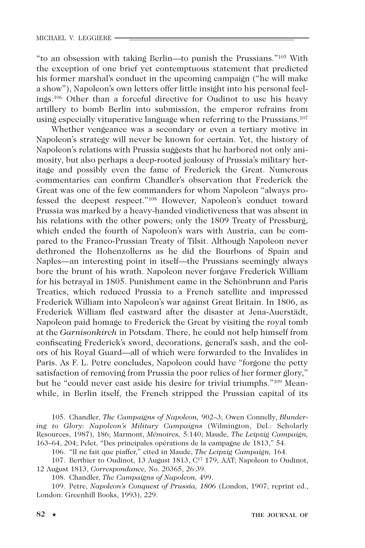"to an obsession with taking Berlin—to punish the Prussians."105 With the exception of one brief yet contemptuous statement that predicted his former marshal's conduct in the upcoming campaign ("he will make a show"), Napoleon's own letters offer little insight into his personal feelings.106 Other than a forceful directive for Oudinot to use his heavy artillery to bomb Berlin into submission, the emperor refrains from using especially vituperative language when referring to the Prussians.<sup>107</sup>

Whether vengeance was a secondary or even a tertiary motive in Napoleon's strategy will never be known for certain. Yet, the history of Napoleon's relations with Prussia suggests that he harbored not only animosity, but also perhaps a deep-rooted jealousy of Prussia's military heritage and possibly even the fame of Frederick the Great. Numerous commentaries can confirm Chandler's observation that Frederick the Great was one of the few commanders for whom Napoleon "always professed the deepest respect."108 However, Napoleon's conduct toward Prussia was marked by a heavy-handed vindictiveness that was absent in his relations with the other powers; only the 1809 Treaty of Pressburg, which ended the fourth of Napoleon's wars with Austria, can be compared to the Franco-Prussian Treaty of Tilsit. Although Napoleon never dethroned the Hohenzollerns as he did the Bourbons of Spain and Naples—an interesting point in itself—the Prussians seemingly always bore the brunt of his wrath. Napoleon never forgave Frederick William for his betrayal in 1805. Punishment came in the Schönbrunn and Paris Treaties, which reduced Prussia to a French satellite and impressed Frederick William into Napoleon's war against Great Britain. In 1806, as Frederick William fled eastward after the disaster at Jena-Auerstädt, Napoleon paid homage to Frederick the Great by visiting the royal tomb at the *Garnisonkirch* in Potsdam. There, he could not help himself from confiscating Frederick's sword, decorations, general's sash, and the colors of his Royal Guard—all of which were forwarded to the Invalides in Paris. As F. L. Petre concludes, Napoleon could have "forgone the petty satisfaction of removing from Prussia the poor relics of her former glory," but he "could never cast aside his desire for trivial triumphs."109 Meanwhile, in Berlin itself, the French stripped the Prussian capital of its

105. Chandler, *The Campaigns of Napoleon,* 902–3; Owen Connelly, *Blundering to Glory: Napoleon's Military Campaigns* (Wilmington, Del.: Scholarly Resources, 1987), 186; Marmont, *Mémoires,* 5:140; Maude, *The Leipzig Campaign,* 163–64, 204; Pelet, "Des principales opérations de la campagne de 1813," 54.

106. "Il ne fait que piaffer," cited in Maude, *The Leipzig Campaign,* 164.

107. Berthier to Oudinot, 13 August 1813, C<sup>17</sup> 179, AAT; Napoleon to Oudinot, 12 August 1813, *Correspondance,* No. 20365, 26:39.

108. Chandler, *The Campaigns of Napoleon,* 499.

109. Petre, *Napoleon's Conquest of Prussia, 1806* (London, 1907; reprint ed., London: Greenhill Books, 1993), 229.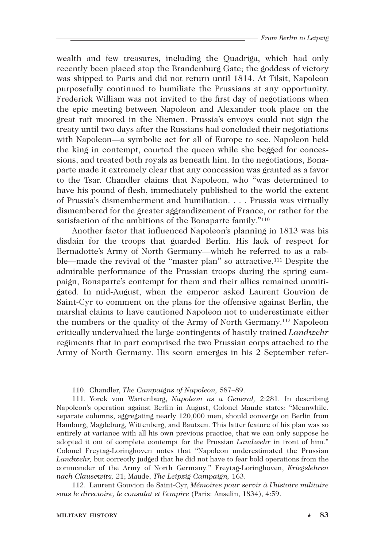wealth and few treasures, including the Quadriga, which had only recently been placed atop the Brandenburg Gate; the goddess of victory was shipped to Paris and did not return until 1814. At Tilsit, Napoleon purposefully continued to humiliate the Prussians at any opportunity. Frederick William was not invited to the first day of negotiations when the epic meeting between Napoleon and Alexander took place on the great raft moored in the Niemen. Prussia's envoys could not sign the treaty until two days after the Russians had concluded their negotiations with Napoleon—a symbolic act for all of Europe to see. Napoleon held the king in contempt, courted the queen while she begged for concessions, and treated both royals as beneath him. In the negotiations, Bonaparte made it extremely clear that any concession was granted as a favor to the Tsar. Chandler claims that Napoleon, who "was determined to have his pound of flesh, immediately published to the world the extent of Prussia's dismemberment and humiliation. . . . Prussia was virtually dismembered for the greater aggrandizement of France, or rather for the satisfaction of the ambitions of the Bonaparte family."110

Another factor that influenced Napoleon's planning in 1813 was his disdain for the troops that guarded Berlin. His lack of respect for Bernadotte's Army of North Germany—which he referred to as a rabble—made the revival of the "master plan" so attractive.111 Despite the admirable performance of the Prussian troops during the spring campaign, Bonaparte's contempt for them and their allies remained unmitigated. In mid-August, when the emperor asked Laurent Gouvion de Saint-Cyr to comment on the plans for the offensive against Berlin, the marshal claims to have cautioned Napoleon not to underestimate either the numbers or the quality of the Army of North Germany.112 Napoleon critically undervalued the large contingents of hastily trained *Landwehr* regiments that in part comprised the two Prussian corps attached to the Army of North Germany. His scorn emerges in his 2 September refer-

#### 110. Chandler, *The Campaigns of Napoleon,* 587–89.

111. Yorck von Wartenburg, *Napoleon as a General,* 2:281. In describing Napoleon's operation against Berlin in August, Colonel Maude states: "Meanwhile, separate columns, aggregating nearly 120,000 men, should converge on Berlin from Hamburg, Magdeburg, Wittenberg, and Bautzen. This latter feature of his plan was so entirely at variance with all his own previous practice, that we can only suppose he adopted it out of complete contempt for the Prussian *Landwehr* in front of him." Colonel Freytag-Loringhoven notes that "Napoleon underestimated the Prussian *Landwehr,* but correctly judged that he did not have to fear bold operations from the commander of the Army of North Germany." Freytag-Loringhoven, *Kriegslehren nach Clausewitz,* 21; Maude, *The Leipzig Campaign,* 163.

112. Laurent Gouvion de Saint-Cyr, *Mémoires pour servir à l'histoire militaire sous le directoire, le consulat et l'empire* (Paris: Anselin, 1834), 4:59.